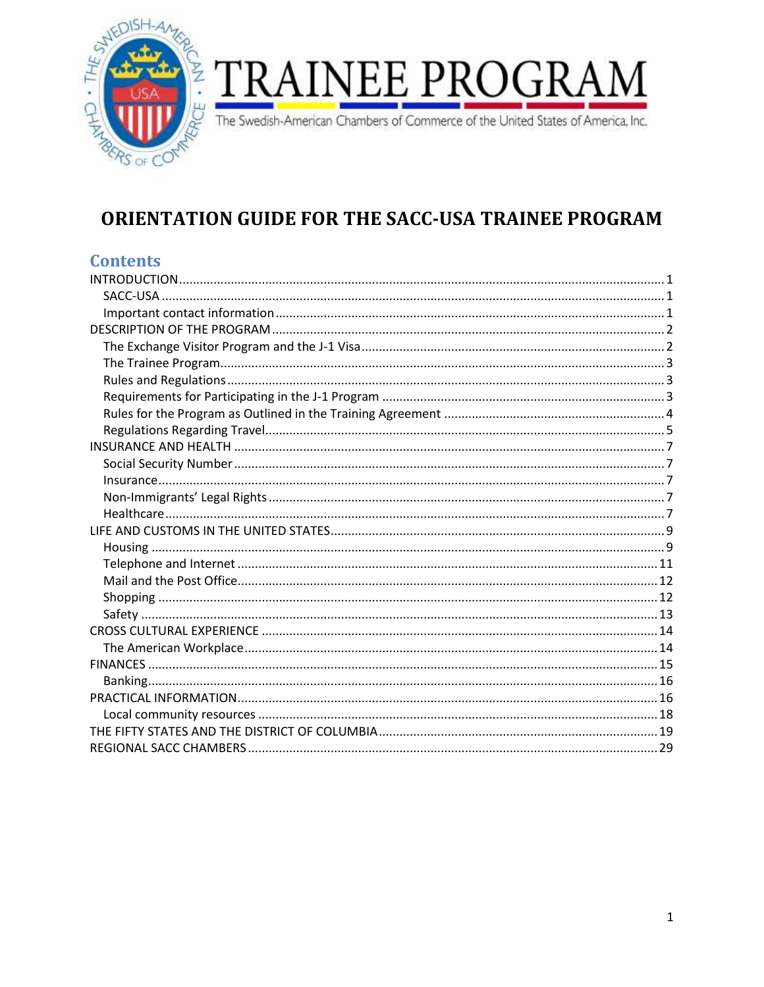

# **TRAINEE PROGRA**

The Swedish-American Chambers of Commerce of the United States of America, Inc.

# ORIENTATION GUIDE FOR THE SACC-USA TRAINEE PROGRAM

# **Contents**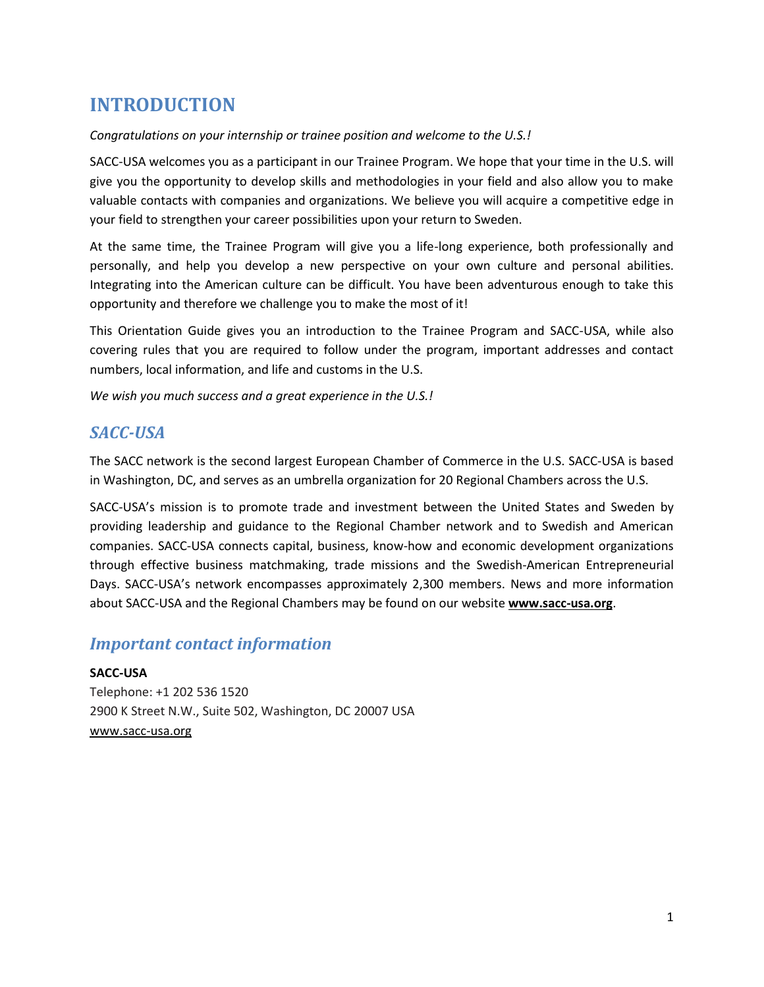# <span id="page-1-0"></span>**INTRODUCTION**

## *Congratulations on your internship or trainee position and welcome to the U.S.!*

SACC-USA welcomes you as a participant in our Trainee Program. We hope that your time in the U.S. will give you the opportunity to develop skills and methodologies in your field and also allow you to make valuable contacts with companies and organizations. We believe you will acquire a competitive edge in your field to strengthen your career possibilities upon your return to Sweden.

At the same time, the Trainee Program will give you a life-long experience, both professionally and personally, and help you develop a new perspective on your own culture and personal abilities. Integrating into the American culture can be difficult. You have been adventurous enough to take this opportunity and therefore we challenge you to make the most of it!

This Orientation Guide gives you an introduction to the Trainee Program and SACC-USA, while also covering rules that you are required to follow under the program, important addresses and contact numbers, local information, and life and customs in the U.S.

*We wish you much success and a great experience in the U.S.!*

# <span id="page-1-1"></span>*SACC-USA*

The SACC network is the second largest European Chamber of Commerce in the U.S. SACC-USA is based in Washington, DC, and serves as an umbrella organization for 20 Regional Chambers across the U.S.

SACC-USA's mission is to promote trade and investment between the United States and Sweden by providing leadership and guidance to the Regional Chamber network and to Swedish and American companies. SACC-USA connects capital, business, know-how and economic development organizations through effective business matchmaking, trade missions and the Swedish-American Entrepreneurial Days. SACC-USA's network encompasses approximately 2,300 members. News and more information about SACC-USA and the Regional Chambers may be found on our website **[www.sacc-usa.org](http://www.sacc-usa.org/)**.

# <span id="page-1-2"></span>*Important contact information*

**SACC-USA**  Telephone: +1 202 536 1520 2900 K Street N.W., Suite 502, Washington, DC 20007 USA [www.sacc-usa.org](http://www.sacc-usa.org/)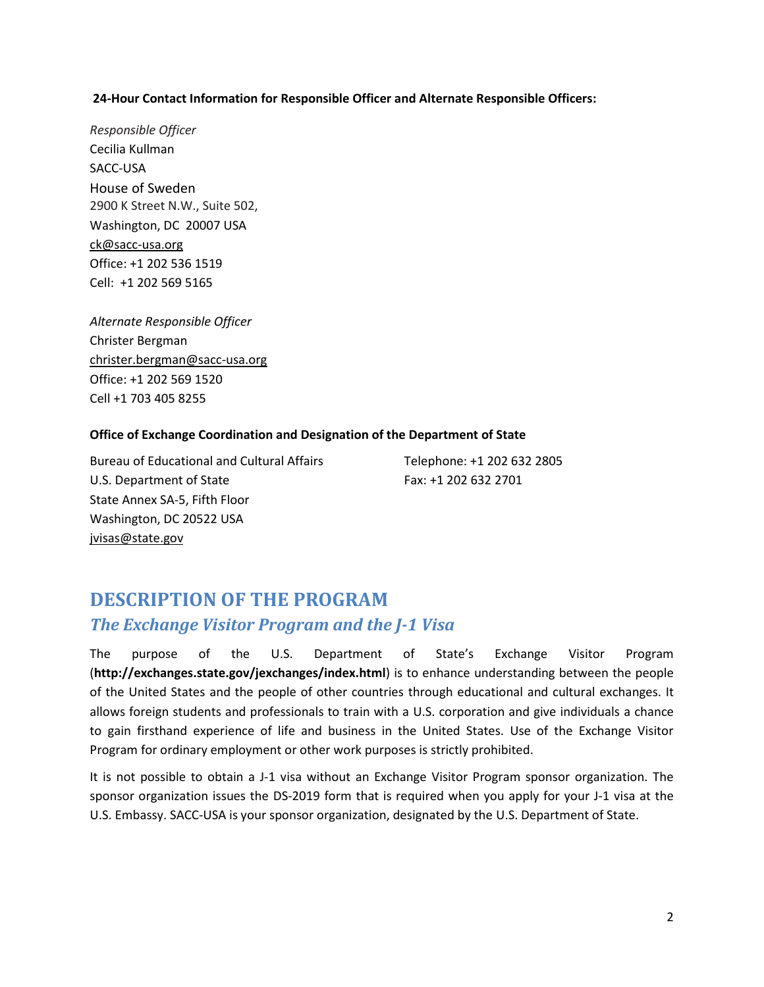## **24-Hour Contact Information for Responsible Officer and Alternate Responsible Officers:**

*Responsible Officer*  Cecilia Kullman SACC-USA House of Sweden 2900 K Street N.W., Suite 502, Washington, DC 20007 USA ck@sacc-usa.org Office: +1 202 536 1519 Cell: +1 202 569 5165

*Alternate Responsible Officer* Christer Bergman christer.bergman@sacc-usa.org Office: +1 202 569 1520 Cell +1 703 405 8255

## **Office of Exchange Coordination and Designation of the Department of State**

Bureau of Educational and Cultural Affairs Telephone: +1 202 632 2805 U.S. Department of State Fax: +1 202 632 2701 State Annex SA-5, Fifth Floor Washington, DC 20522 USA jvisas@state.gov

# <span id="page-2-1"></span><span id="page-2-0"></span>**DESCRIPTION OF THE PROGRAM** *The Exchange Visitor Program and the J-1 Visa*

The purpose of the U.S. Department of State's Exchange Visitor Program (**<http://exchanges.state.gov/jexchanges/index.html>**) is to enhance understanding between the people of the United States and the people of other countries through educational and cultural exchanges. It allows foreign students and professionals to train with a U.S. corporation and give individuals a chance to gain firsthand experience of life and business in the United States. Use of the Exchange Visitor Program for ordinary employment or other work purposes is strictly prohibited.

It is not possible to obtain a J-1 visa without an Exchange Visitor Program sponsor organization. The sponsor organization issues the DS-2019 form that is required when you apply for your J-1 visa at the U.S. Embassy. SACC-USA is your sponsor organization, designated by the U.S. Department of State.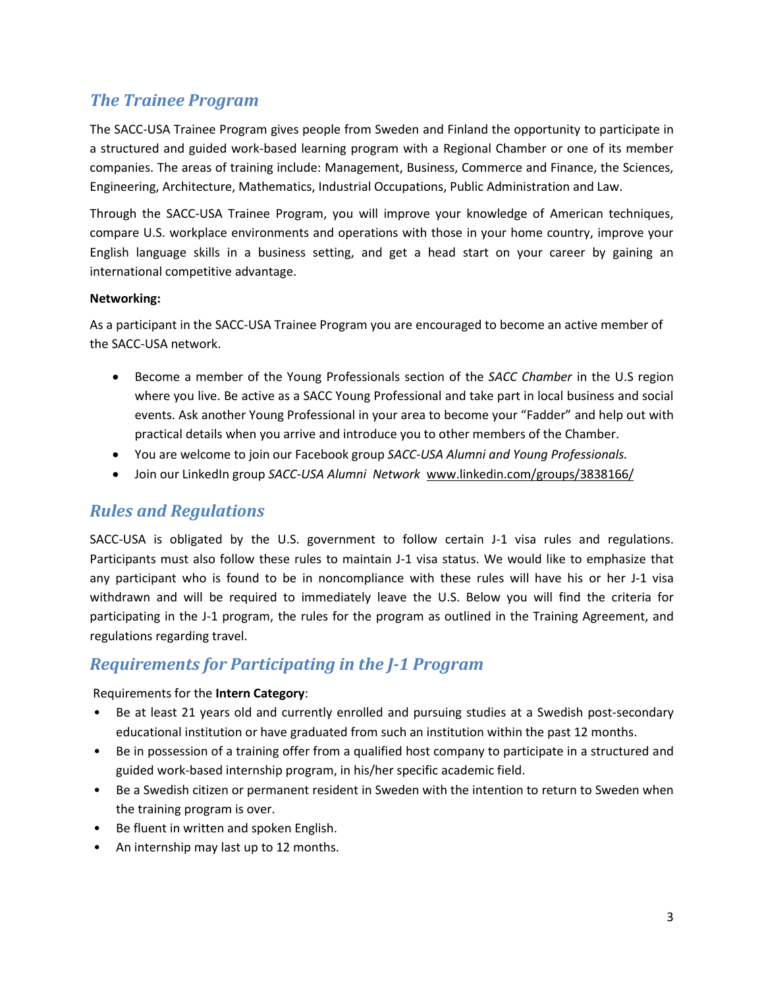# <span id="page-3-0"></span>*The Trainee Program*

The SACC-USA Trainee Program gives people from Sweden and Finland the opportunity to participate in a structured and guided work-based learning program with a Regional Chamber or one of its member companies. The areas of training include: Management, Business, Commerce and Finance, the Sciences, Engineering, Architecture, Mathematics, Industrial Occupations, Public Administration and Law.

Through the SACC-USA Trainee Program, you will improve your knowledge of American techniques, compare U.S. workplace environments and operations with those in your home country, improve your English language skills in a business setting, and get a head start on your career by gaining an international competitive advantage.

## **Networking:**

As a participant in the SACC-USA Trainee Program you are encouraged to become an active member of the SACC-USA network.

- Become a member of the Young Professionals section of the *SACC Chamber* in the U.S region where you live. Be active as a SACC Young Professional and take part in local business and social events. Ask another Young Professional in your area to become your "Fadder" and help out with practical details when you arrive and introduce you to other members of the Chamber.
- You are welcome to join our Facebook group *SACC-USA Alumni and Young Professionals.*
- Join our LinkedIn group *SACC-USA Alumni Network* [www.linkedin.com/groups/3838166/](https://www.linkedin.com/groups/3838166/)

# <span id="page-3-1"></span>*Rules and Regulations*

SACC-USA is obligated by the U.S. government to follow certain J-1 visa rules and regulations. Participants must also follow these rules to maintain J-1 visa status. We would like to emphasize that any participant who is found to be in noncompliance with these rules will have his or her J-1 visa withdrawn and will be required to immediately leave the U.S. Below you will find the criteria for participating in the J-1 program, the rules for the program as outlined in the Training Agreement, and regulations regarding travel.

# <span id="page-3-2"></span>*Requirements for Participating in the J-1 Program*

Requirements for the **Intern Category**:

- Be at least 21 years old and currently enrolled and pursuing studies at a Swedish post-secondary educational institution or have graduated from such an institution within the past 12 months.
- Be in possession of a training offer from a qualified host company to participate in a structured and guided work-based internship program, in his/her specific academic field.
- Be a Swedish citizen or permanent resident in Sweden with the intention to return to Sweden when the training program is over.
- Be fluent in written and spoken English.
- An internship may last up to 12 months.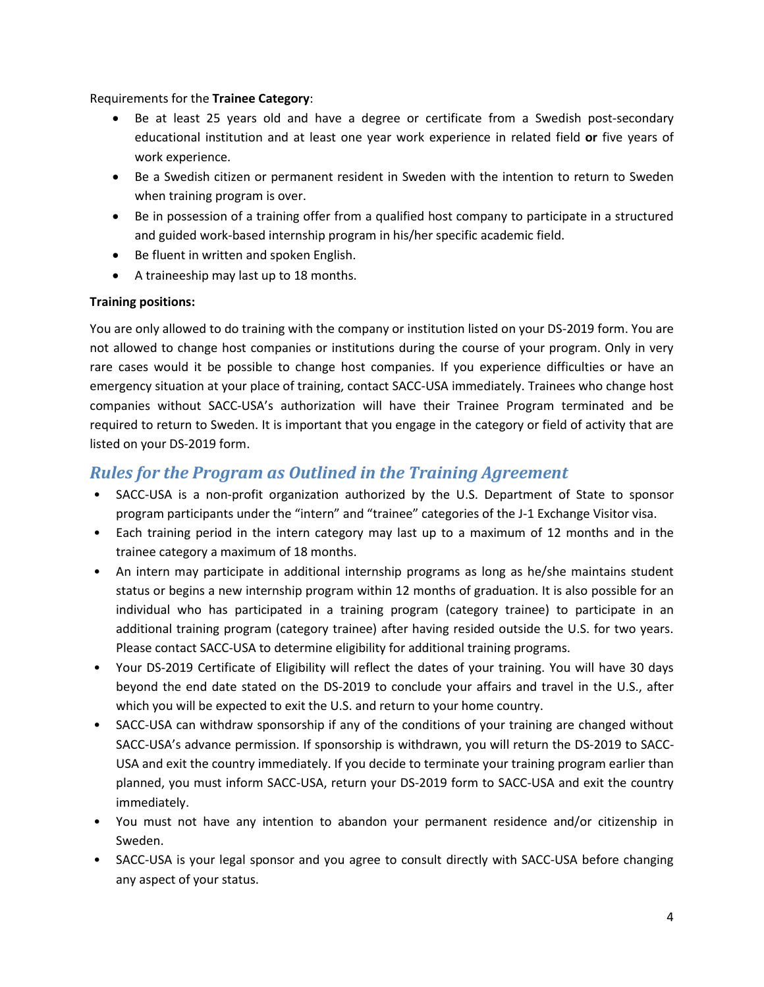Requirements for the **Trainee Category**:

- Be at least 25 years old and have a degree or certificate from a Swedish post-secondary educational institution and at least one year work experience in related field **or** five years of work experience.
- Be a Swedish citizen or permanent resident in Sweden with the intention to return to Sweden when training program is over.
- Be in possession of a training offer from a qualified host company to participate in a structured and guided work-based internship program in his/her specific academic field.
- Be fluent in written and spoken English.
- A traineeship may last up to 18 months.

## **Training positions:**

You are only allowed to do training with the company or institution listed on your DS-2019 form. You are not allowed to change host companies or institutions during the course of your program. Only in very rare cases would it be possible to change host companies. If you experience difficulties or have an emergency situation at your place of training, contact SACC-USA immediately. Trainees who change host companies without SACC-USA's authorization will have their Trainee Program terminated and be required to return to Sweden. It is important that you engage in the category or field of activity that are listed on your DS-2019 form.

# <span id="page-4-0"></span>*Rules for the Program as Outlined in the Training Agreement*

- SACC-USA is a non-profit organization authorized by the U.S. Department of State to sponsor program participants under the "intern" and "trainee" categories of the J-1 Exchange Visitor visa.
- Each training period in the intern category may last up to a maximum of 12 months and in the trainee category a maximum of 18 months.
- An intern may participate in additional internship programs as long as he/she maintains student status or begins a new internship program within 12 months of graduation. It is also possible for an individual who has participated in a training program (category trainee) to participate in an additional training program (category trainee) after having resided outside the U.S. for two years. Please contact SACC-USA to determine eligibility for additional training programs.
- Your DS-2019 Certificate of Eligibility will reflect the dates of your training. You will have 30 days beyond the end date stated on the DS-2019 to conclude your affairs and travel in the U.S., after which you will be expected to exit the U.S. and return to your home country.
- SACC-USA can withdraw sponsorship if any of the conditions of your training are changed without SACC-USA's advance permission. If sponsorship is withdrawn, you will return the DS-2019 to SACC-USA and exit the country immediately. If you decide to terminate your training program earlier than planned, you must inform SACC-USA, return your DS-2019 form to SACC-USA and exit the country immediately.
- You must not have any intention to abandon your permanent residence and/or citizenship in Sweden.
- SACC-USA is your legal sponsor and you agree to consult directly with SACC-USA before changing any aspect of your status.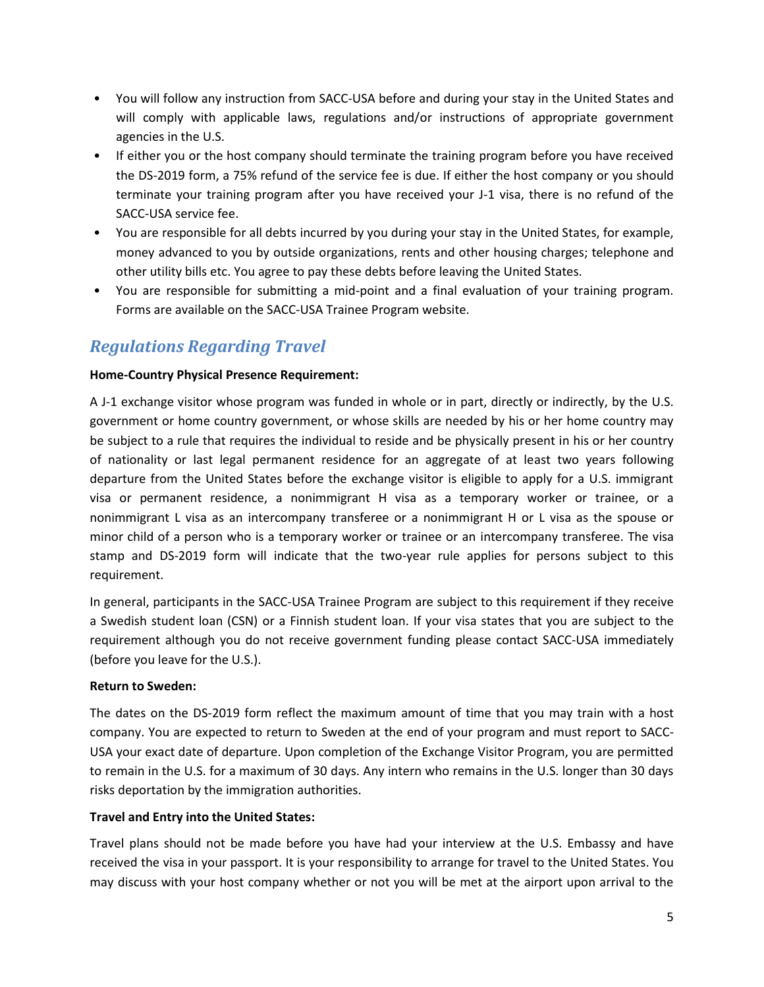- You will follow any instruction from SACC-USA before and during your stay in the United States and will comply with applicable laws, regulations and/or instructions of appropriate government agencies in the U.S.
- If either you or the host company should terminate the training program before you have received the DS-2019 form, a 75% refund of the service fee is due. If either the host company or you should terminate your training program after you have received your J-1 visa, there is no refund of the SACC-USA service fee.
- You are responsible for all debts incurred by you during your stay in the United States, for example, money advanced to you by outside organizations, rents and other housing charges; telephone and other utility bills etc. You agree to pay these debts before leaving the United States.
- You are responsible for submitting a mid-point and a final evaluation of your training program. Forms are available on the SACC-USA Trainee Program website.

# <span id="page-5-0"></span>*Regulations Regarding Travel*

## **Home-Country Physical Presence Requirement:**

A J-1 exchange visitor whose program was funded in whole or in part, directly or indirectly, by the U.S. government or home country government, or whose skills are needed by his or her home country may be subject to a rule that requires the individual to reside and be physically present in his or her country of nationality or last legal permanent residence for an aggregate of at least two years following departure from the United States before the exchange visitor is eligible to apply for a U.S. immigrant visa or permanent residence, a nonimmigrant H visa as a temporary worker or trainee, or a nonimmigrant L visa as an intercompany transferee or a nonimmigrant H or L visa as the spouse or minor child of a person who is a temporary worker or trainee or an intercompany transferee. The visa stamp and DS-2019 form will indicate that the two-year rule applies for persons subject to this requirement.

In general, participants in the SACC-USA Trainee Program are subject to this requirement if they receive a Swedish student loan (CSN) or a Finnish student loan. If your visa states that you are subject to the requirement although you do not receive government funding please contact SACC-USA immediately (before you leave for the U.S.).

## **Return to Sweden:**

The dates on the DS-2019 form reflect the maximum amount of time that you may train with a host company. You are expected to return to Sweden at the end of your program and must report to SACC-USA your exact date of departure. Upon completion of the Exchange Visitor Program, you are permitted to remain in the U.S. for a maximum of 30 days. Any intern who remains in the U.S. longer than 30 days risks deportation by the immigration authorities.

## **Travel and Entry into the United States:**

Travel plans should not be made before you have had your interview at the U.S. Embassy and have received the visa in your passport. It is your responsibility to arrange for travel to the United States. You may discuss with your host company whether or not you will be met at the airport upon arrival to the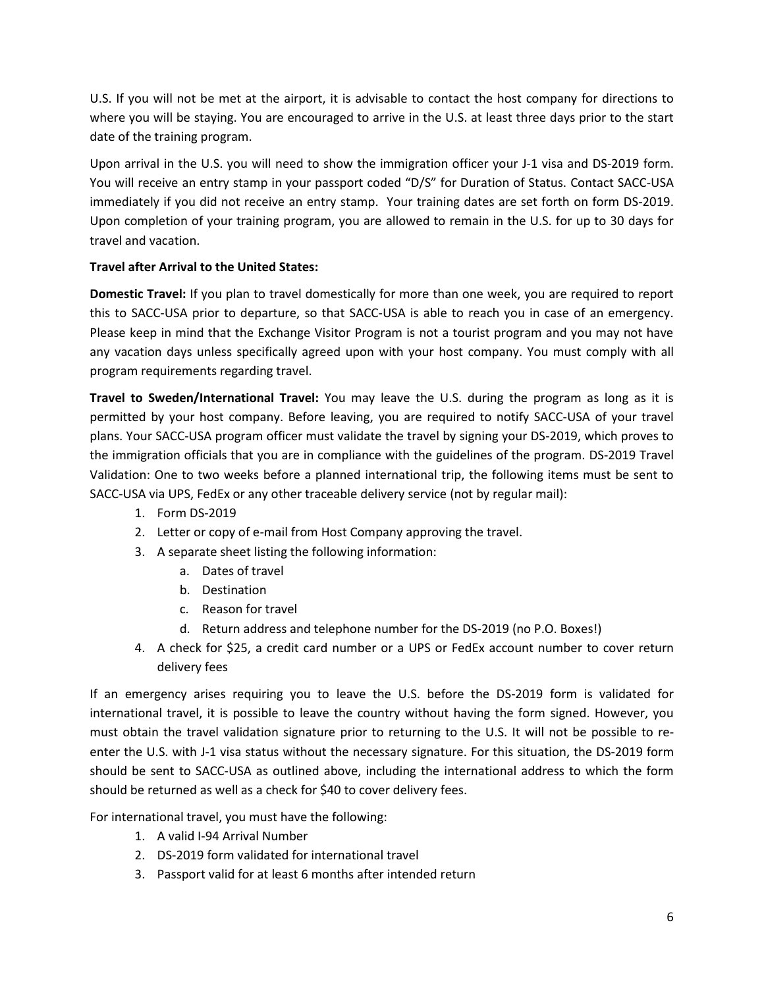U.S. If you will not be met at the airport, it is advisable to contact the host company for directions to where you will be staying. You are encouraged to arrive in the U.S. at least three days prior to the start date of the training program.

Upon arrival in the U.S. you will need to show the immigration officer your J-1 visa and DS-2019 form. You will receive an entry stamp in your passport coded "D/S" for Duration of Status. Contact SACC-USA immediately if you did not receive an entry stamp. Your training dates are set forth on form DS-2019. Upon completion of your training program, you are allowed to remain in the U.S. for up to 30 days for travel and vacation.

## **Travel after Arrival to the United States:**

**Domestic Travel:** If you plan to travel domestically for more than one week, you are required to report this to SACC-USA prior to departure, so that SACC-USA is able to reach you in case of an emergency. Please keep in mind that the Exchange Visitor Program is not a tourist program and you may not have any vacation days unless specifically agreed upon with your host company. You must comply with all program requirements regarding travel.

**Travel to Sweden/International Travel:** You may leave the U.S. during the program as long as it is permitted by your host company. Before leaving, you are required to notify SACC-USA of your travel plans. Your SACC-USA program officer must validate the travel by signing your DS-2019, which proves to the immigration officials that you are in compliance with the guidelines of the program. DS-2019 Travel Validation: One to two weeks before a planned international trip, the following items must be sent to SACC-USA via UPS, FedEx or any other traceable delivery service (not by regular mail):

- 1. Form DS-2019
- 2. Letter or copy of e-mail from Host Company approving the travel.
- 3. A separate sheet listing the following information:
	- a. Dates of travel
		- b. Destination
		- c. Reason for travel
		- d. Return address and telephone number for the DS-2019 (no P.O. Boxes!)
- 4. A check for \$25, a credit card number or a UPS or FedEx account number to cover return delivery fees

If an emergency arises requiring you to leave the U.S. before the DS-2019 form is validated for international travel, it is possible to leave the country without having the form signed. However, you must obtain the travel validation signature prior to returning to the U.S. It will not be possible to reenter the U.S. with J-1 visa status without the necessary signature. For this situation, the DS-2019 form should be sent to SACC-USA as outlined above, including the international address to which the form should be returned as well as a check for \$40 to cover delivery fees.

For international travel, you must have the following:

- 1. A valid I-94 Arrival Number
- 2. DS-2019 form validated for international travel
- 3. Passport valid for at least 6 months after intended return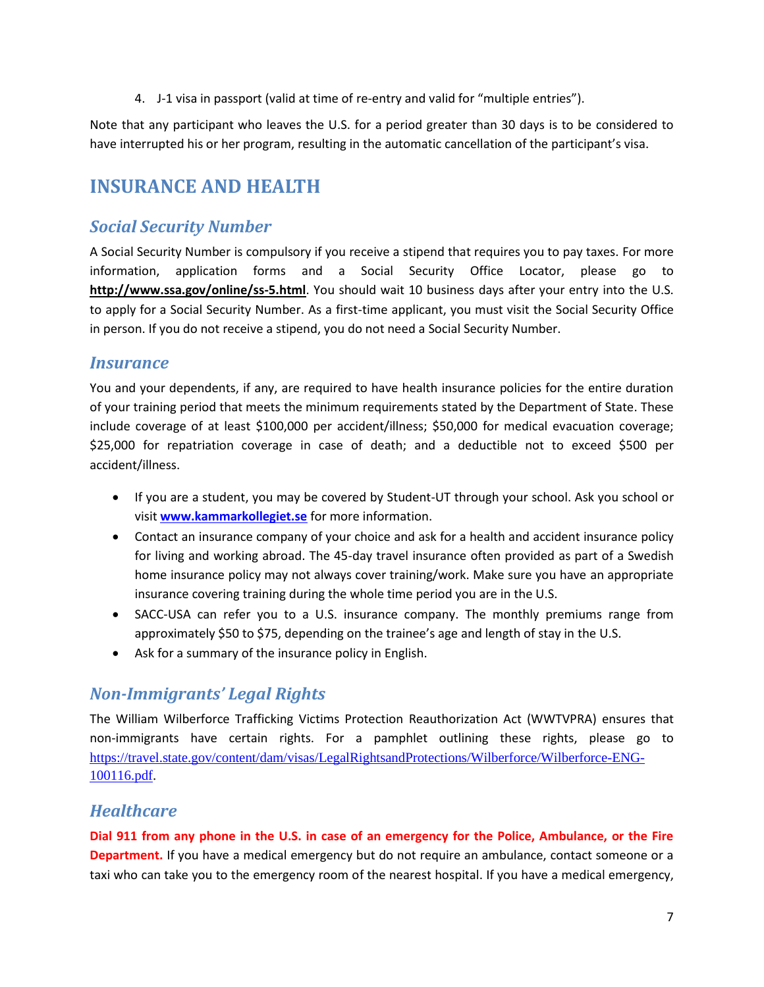4. J-1 visa in passport (valid at time of re-entry and valid for "multiple entries").

Note that any participant who leaves the U.S. for a period greater than 30 days is to be considered to have interrupted his or her program, resulting in the automatic cancellation of the participant's visa.

# <span id="page-7-0"></span>**INSURANCE AND HEALTH**

# <span id="page-7-1"></span>*Social Security Number*

A Social Security Number is compulsory if you receive a stipend that requires you to pay taxes. For more information, application forms and a Social Security Office Locator, please go to **<http://www.ssa.gov/online/ss-5.html>**. You should wait 10 business days after your entry into the U.S. to apply for a Social Security Number. As a first-time applicant, you must visit the Social Security Office in person. If you do not receive a stipend, you do not need a Social Security Number.

# <span id="page-7-2"></span>*Insurance*

You and your dependents, if any, are required to have health insurance policies for the entire duration of your training period that meets the minimum requirements stated by the Department of State. These include coverage of at least \$100,000 per accident/illness; \$50,000 for medical evacuation coverage; \$25,000 for repatriation coverage in case of death; and a deductible not to exceed \$500 per accident/illness.

- If you are a student, you may be covered by Student-UT through your school. Ask you school or visit **[www.kammarkollegiet.se](http://www.kammarkollegiet.se/)** for more information.
- Contact an insurance company of your choice and ask for a health and accident insurance policy for living and working abroad. The 45-day travel insurance often provided as part of a Swedish home insurance policy may not always cover training/work. Make sure you have an appropriate insurance covering training during the whole time period you are in the U.S.
- SACC-USA can refer you to a U.S. insurance company. The monthly premiums range from approximately \$50 to \$75, depending on the trainee's age and length of stay in the U.S.
- Ask for a summary of the insurance policy in English.

# <span id="page-7-3"></span>*Non-Immigrants' Legal Rights*

The William Wilberforce Trafficking Victims Protection Reauthorization Act (WWTVPRA) ensures that non-immigrants have certain rights. For a pamphlet outlining these rights, please go to [https://travel.state.gov/content/dam/visas/LegalRightsandProtections/Wilberforce/Wilberforce-ENG-](https://travel.state.gov/content/dam/visas/LegalRightsandProtections/Wilberforce/Wilberforce-ENG-100116.pdf)[100116.pdf.](https://travel.state.gov/content/dam/visas/LegalRightsandProtections/Wilberforce/Wilberforce-ENG-100116.pdf)

# <span id="page-7-4"></span>*Healthcare*

**Dial 911 from any phone in the U.S. in case of an emergency for the Police, Ambulance, or the Fire Department.** If you have a medical emergency but do not require an ambulance, contact someone or a taxi who can take you to the emergency room of the nearest hospital. If you have a medical emergency,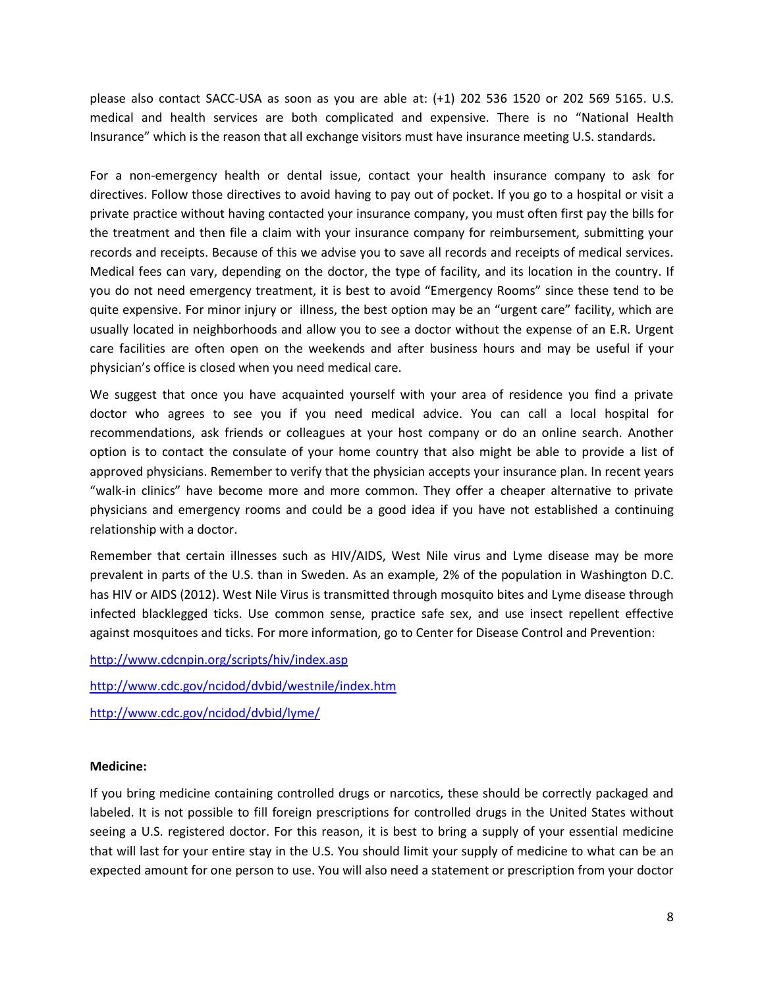please also contact SACC-USA as soon as you are able at: (+1) 202 536 1520 or 202 569 5165. U.S. medical and health services are both complicated and expensive. There is no "National Health Insurance" which is the reason that all exchange visitors must have insurance meeting U.S. standards.

For a non-emergency health or dental issue, contact your health insurance company to ask for directives. Follow those directives to avoid having to pay out of pocket. If you go to a hospital or visit a private practice without having contacted your insurance company, you must often first pay the bills for the treatment and then file a claim with your insurance company for reimbursement, submitting your records and receipts. Because of this we advise you to save all records and receipts of medical services. Medical fees can vary, depending on the doctor, the type of facility, and its location in the country. If you do not need emergency treatment, it is best to avoid "Emergency Rooms" since these tend to be quite expensive. For minor injury or illness, the best option may be an "urgent care" facility, which are usually located in neighborhoods and allow you to see a doctor without the expense of an E.R. Urgent care facilities are often open on the weekends and after business hours and may be useful if your physician's office is closed when you need medical care.

We suggest that once you have acquainted yourself with your area of residence you find a private doctor who agrees to see you if you need medical advice. You can call a local hospital for recommendations, ask friends or colleagues at your host company or do an online search. Another option is to contact the consulate of your home country that also might be able to provide a list of approved physicians. Remember to verify that the physician accepts your insurance plan. In recent years "walk-in clinics" have become more and more common. They offer a cheaper alternative to private physicians and emergency rooms and could be a good idea if you have not established a continuing relationship with a doctor.

Remember that certain illnesses such as HIV/AIDS, West Nile virus and Lyme disease may be more prevalent in parts of the U.S. than in Sweden. As an example, 2% of the population in Washington D.C. has HIV or AIDS (2012). West Nile Virus is transmitted through mosquito bites and Lyme disease through infected blacklegged ticks. Use common sense, practice safe sex, and use insect repellent effective against mosquitoes and ticks. For more information, go to Center for Disease Control and Prevention:

<http://www.cdcnpin.org/scripts/hiv/index.asp>

<http://www.cdc.gov/ncidod/dvbid/westnile/index.htm>

<http://www.cdc.gov/ncidod/dvbid/lyme/>

#### **Medicine:**

If you bring medicine containing controlled drugs or narcotics, these should be correctly packaged and labeled. It is not possible to fill foreign prescriptions for controlled drugs in the United States without seeing a U.S. registered doctor. For this reason, it is best to bring a supply of your essential medicine that will last for your entire stay in the U.S. You should limit your supply of medicine to what can be an expected amount for one person to use. You will also need a statement or prescription from your doctor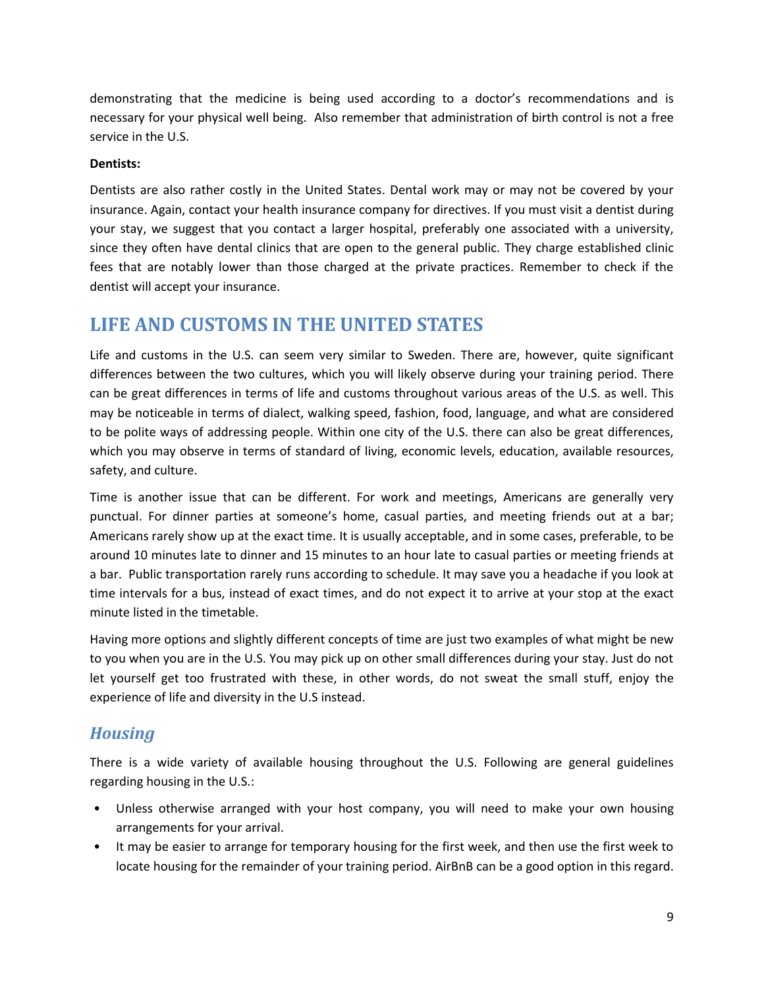demonstrating that the medicine is being used according to a doctor's recommendations and is necessary for your physical well being. Also remember that administration of birth control is not a free service in the U.S.

## **Dentists:**

Dentists are also rather costly in the United States. Dental work may or may not be covered by your insurance. Again, contact your health insurance company for directives. If you must visit a dentist during your stay, we suggest that you contact a larger hospital, preferably one associated with a university, since they often have dental clinics that are open to the general public. They charge established clinic fees that are notably lower than those charged at the private practices. Remember to check if the dentist will accept your insurance.

# <span id="page-9-0"></span>**LIFE AND CUSTOMS IN THE UNITED STATES**

Life and customs in the U.S. can seem very similar to Sweden. There are, however, quite significant differences between the two cultures, which you will likely observe during your training period. There can be great differences in terms of life and customs throughout various areas of the U.S. as well. This may be noticeable in terms of dialect, walking speed, fashion, food, language, and what are considered to be polite ways of addressing people. Within one city of the U.S. there can also be great differences, which you may observe in terms of standard of living, economic levels, education, available resources, safety, and culture.

Time is another issue that can be different. For work and meetings, Americans are generally very punctual. For dinner parties at someone's home, casual parties, and meeting friends out at a bar; Americans rarely show up at the exact time. It is usually acceptable, and in some cases, preferable, to be around 10 minutes late to dinner and 15 minutes to an hour late to casual parties or meeting friends at a bar. Public transportation rarely runs according to schedule. It may save you a headache if you look at time intervals for a bus, instead of exact times, and do not expect it to arrive at your stop at the exact minute listed in the timetable.

Having more options and slightly different concepts of time are just two examples of what might be new to you when you are in the U.S. You may pick up on other small differences during your stay. Just do not let yourself get too frustrated with these, in other words, do not sweat the small stuff, enjoy the experience of life and diversity in the U.S instead.

# <span id="page-9-1"></span>*Housing*

There is a wide variety of available housing throughout the U.S. Following are general guidelines regarding housing in the U.S.:

- Unless otherwise arranged with your host company, you will need to make your own housing arrangements for your arrival.
- It may be easier to arrange for temporary housing for the first week, and then use the first week to locate housing for the remainder of your training period. AirBnB can be a good option in this regard.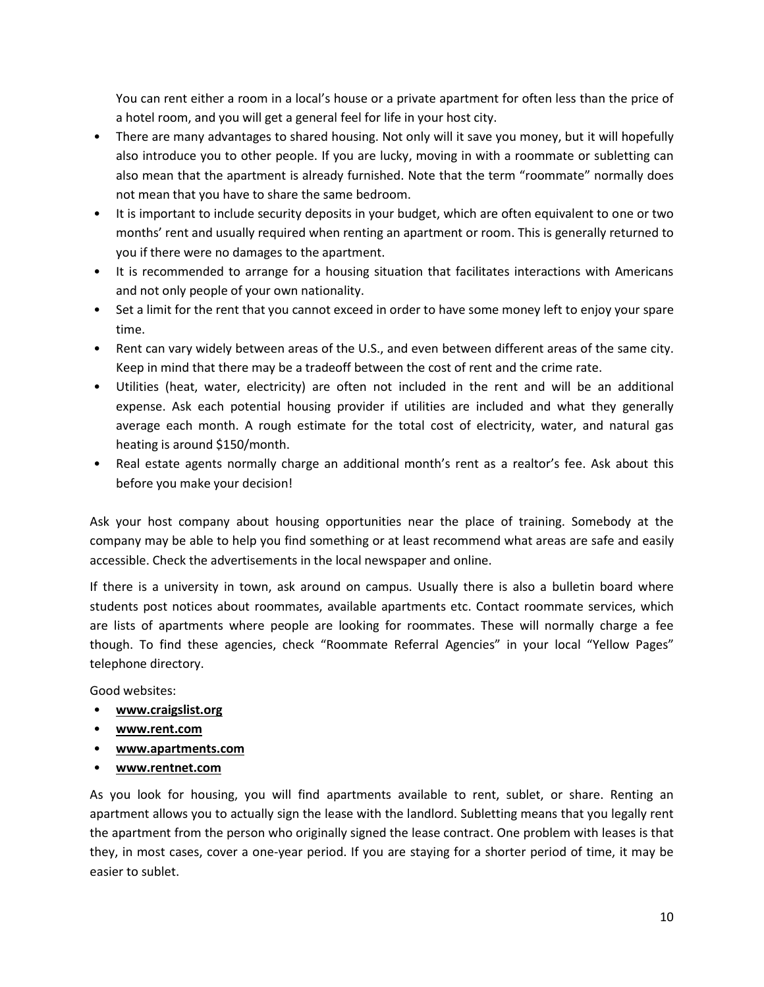You can rent either a room in a local's house or a private apartment for often less than the price of a hotel room, and you will get a general feel for life in your host city.

- There are many advantages to shared housing. Not only will it save you money, but it will hopefully also introduce you to other people. If you are lucky, moving in with a roommate or subletting can also mean that the apartment is already furnished. Note that the term "roommate" normally does not mean that you have to share the same bedroom.
- It is important to include security deposits in your budget, which are often equivalent to one or two months' rent and usually required when renting an apartment or room. This is generally returned to you if there were no damages to the apartment.
- It is recommended to arrange for a housing situation that facilitates interactions with Americans and not only people of your own nationality.
- Set a limit for the rent that you cannot exceed in order to have some money left to enjoy your spare time.
- Rent can vary widely between areas of the U.S., and even between different areas of the same city. Keep in mind that there may be a tradeoff between the cost of rent and the crime rate.
- Utilities (heat, water, electricity) are often not included in the rent and will be an additional expense. Ask each potential housing provider if utilities are included and what they generally average each month. A rough estimate for the total cost of electricity, water, and natural gas heating is around \$150/month.
- Real estate agents normally charge an additional month's rent as a realtor's fee. Ask about this before you make your decision!

Ask your host company about housing opportunities near the place of training. Somebody at the company may be able to help you find something or at least recommend what areas are safe and easily accessible. Check the advertisements in the local newspaper and online.

If there is a university in town, ask around on campus. Usually there is also a bulletin board where students post notices about roommates, available apartments etc. Contact roommate services, which are lists of apartments where people are looking for roommates. These will normally charge a fee though. To find these agencies, check "Roommate Referral Agencies" in your local "Yellow Pages" telephone directory.

Good websites:

- **[www.craigslist.org](http://www.craigslist.org/)**
- **[www.rent.com](http://www.rent.com/)**
- **[www.apartments.com](http://www.apartments.com/)**
- **[www.rentnet.com](http://www.rentnet.com/)**

As you look for housing, you will find apartments available to rent, sublet, or share. Renting an apartment allows you to actually sign the lease with the landlord. Subletting means that you legally rent the apartment from the person who originally signed the lease contract. One problem with leases is that they, in most cases, cover a one-year period. If you are staying for a shorter period of time, it may be easier to sublet.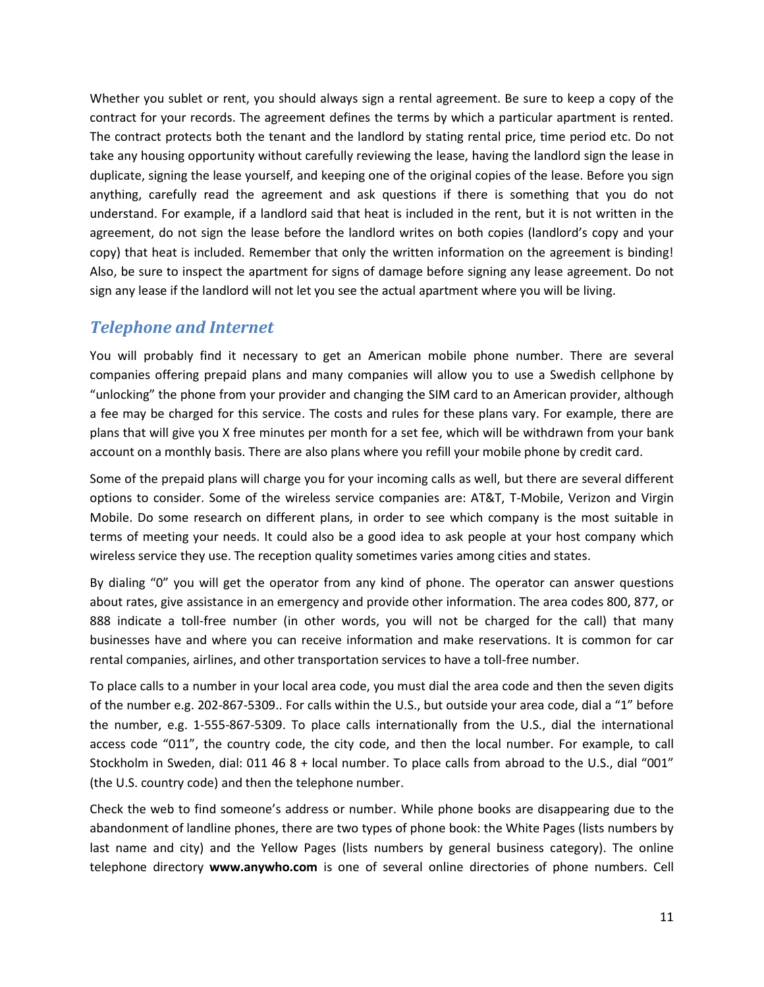Whether you sublet or rent, you should always sign a rental agreement. Be sure to keep a copy of the contract for your records. The agreement defines the terms by which a particular apartment is rented. The contract protects both the tenant and the landlord by stating rental price, time period etc. Do not take any housing opportunity without carefully reviewing the lease, having the landlord sign the lease in duplicate, signing the lease yourself, and keeping one of the original copies of the lease. Before you sign anything, carefully read the agreement and ask questions if there is something that you do not understand. For example, if a landlord said that heat is included in the rent, but it is not written in the agreement, do not sign the lease before the landlord writes on both copies (landlord's copy and your copy) that heat is included. Remember that only the written information on the agreement is binding! Also, be sure to inspect the apartment for signs of damage before signing any lease agreement. Do not sign any lease if the landlord will not let you see the actual apartment where you will be living.

# <span id="page-11-0"></span>*Telephone and Internet*

You will probably find it necessary to get an American mobile phone number. There are several companies offering prepaid plans and many companies will allow you to use a Swedish cellphone by "unlocking" the phone from your provider and changing the SIM card to an American provider, although a fee may be charged for this service. The costs and rules for these plans vary. For example, there are plans that will give you X free minutes per month for a set fee, which will be withdrawn from your bank account on a monthly basis. There are also plans where you refill your mobile phone by credit card.

Some of the prepaid plans will charge you for your incoming calls as well, but there are several different options to consider. Some of the wireless service companies are: AT&T, T-Mobile, Verizon and Virgin Mobile. Do some research on different plans, in order to see which company is the most suitable in terms of meeting your needs. It could also be a good idea to ask people at your host company which wireless service they use. The reception quality sometimes varies among cities and states.

By dialing "0" you will get the operator from any kind of phone. The operator can answer questions about rates, give assistance in an emergency and provide other information. The area codes 800, 877, or 888 indicate a toll-free number (in other words, you will not be charged for the call) that many businesses have and where you can receive information and make reservations. It is common for car rental companies, airlines, and other transportation services to have a toll-free number.

To place calls to a number in your local area code, you must dial the area code and then the seven digits of the number e.g. 202-867-5309.. For calls within the U.S., but outside your area code, dial a "1" before the number, e.g. 1-555-867-5309. To place calls internationally from the U.S., dial the international access code "011", the country code, the city code, and then the local number. For example, to call Stockholm in Sweden, dial: 011 46 8 + local number. To place calls from abroad to the U.S., dial "001" (the U.S. country code) and then the telephone number.

Check the web to find someone's address or number. While phone books are disappearing due to the abandonment of landline phones, there are two types of phone book: the White Pages (lists numbers by last name and city) and the Yellow Pages (lists numbers by general business category). The online telephone directory **[www.anywho.com](http://www.anywho.com/)** is one of several online directories of phone numbers. Cell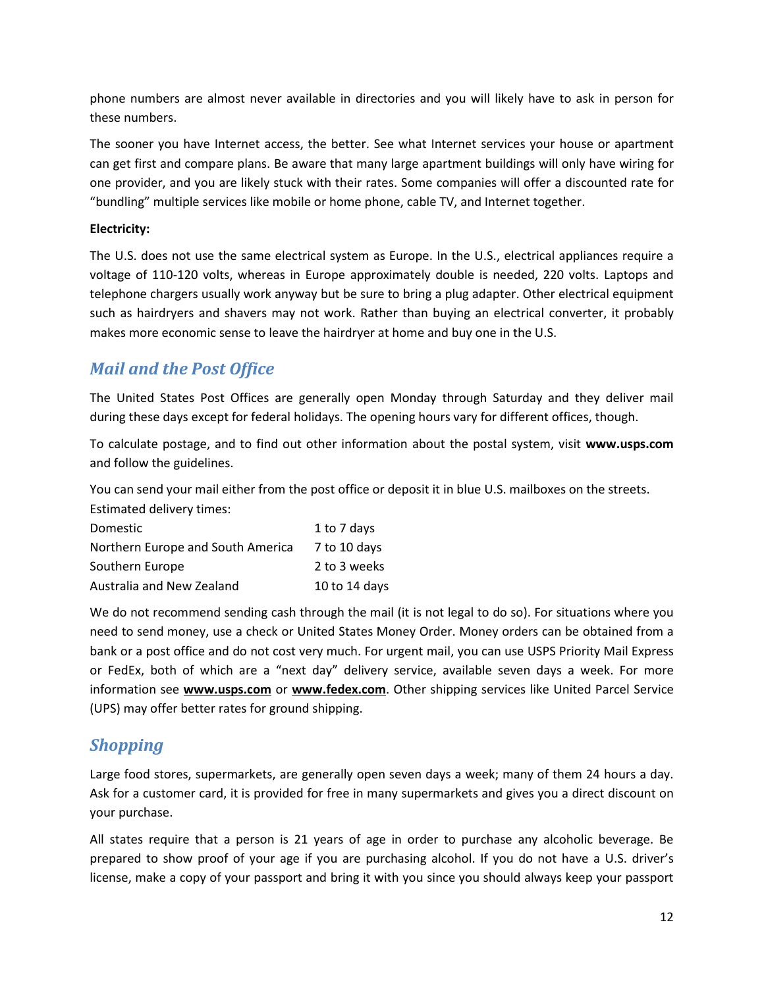phone numbers are almost never available in directories and you will likely have to ask in person for these numbers.

The sooner you have Internet access, the better. See what Internet services your house or apartment can get first and compare plans. Be aware that many large apartment buildings will only have wiring for one provider, and you are likely stuck with their rates. Some companies will offer a discounted rate for "bundling" multiple services like mobile or home phone, cable TV, and Internet together.

## **Electricity:**

The U.S. does not use the same electrical system as Europe. In the U.S., electrical appliances require a voltage of 110-120 volts, whereas in Europe approximately double is needed, 220 volts. Laptops and telephone chargers usually work anyway but be sure to bring a plug adapter. Other electrical equipment such as hairdryers and shavers may not work. Rather than buying an electrical converter, it probably makes more economic sense to leave the hairdryer at home and buy one in the U.S.

# <span id="page-12-0"></span>*Mail and the Post Office*

The United States Post Offices are generally open Monday through Saturday and they deliver mail during these days except for federal holidays. The opening hours vary for different offices, though.

To calculate postage, and to find out other information about the postal system, visit **www.usps.com** and follow the guidelines.

You can send your mail either from the post office or deposit it in blue U.S. mailboxes on the streets. Estimated delivery times:

| <b>Domestic</b>                   | 1 to 7 days   |
|-----------------------------------|---------------|
| Northern Europe and South America | 7 to 10 days  |
| Southern Europe                   | 2 to 3 weeks  |
| Australia and New Zealand         | 10 to 14 days |

We do not recommend sending cash through the mail (it is not legal to do so). For situations where you need to send money, use a check or United States Money Order. Money orders can be obtained from a bank or a post office and do not cost very much. For urgent mail, you can use USPS Priority Mail Express or FedEx, both of which are a "next day" delivery service, available seven days a week. For more information see **www.usps.com** or **[www.fedex.com](http://www.fedex.com/)**. Other shipping services like United Parcel Service (UPS) may offer better rates for ground shipping.

# <span id="page-12-1"></span>*Shopping*

Large food stores, supermarkets, are generally open seven days a week; many of them 24 hours a day. Ask for a customer card, it is provided for free in many supermarkets and gives you a direct discount on your purchase.

All states require that a person is 21 years of age in order to purchase any alcoholic beverage. Be prepared to show proof of your age if you are purchasing alcohol. If you do not have a U.S. driver's license, make a copy of your passport and bring it with you since you should always keep your passport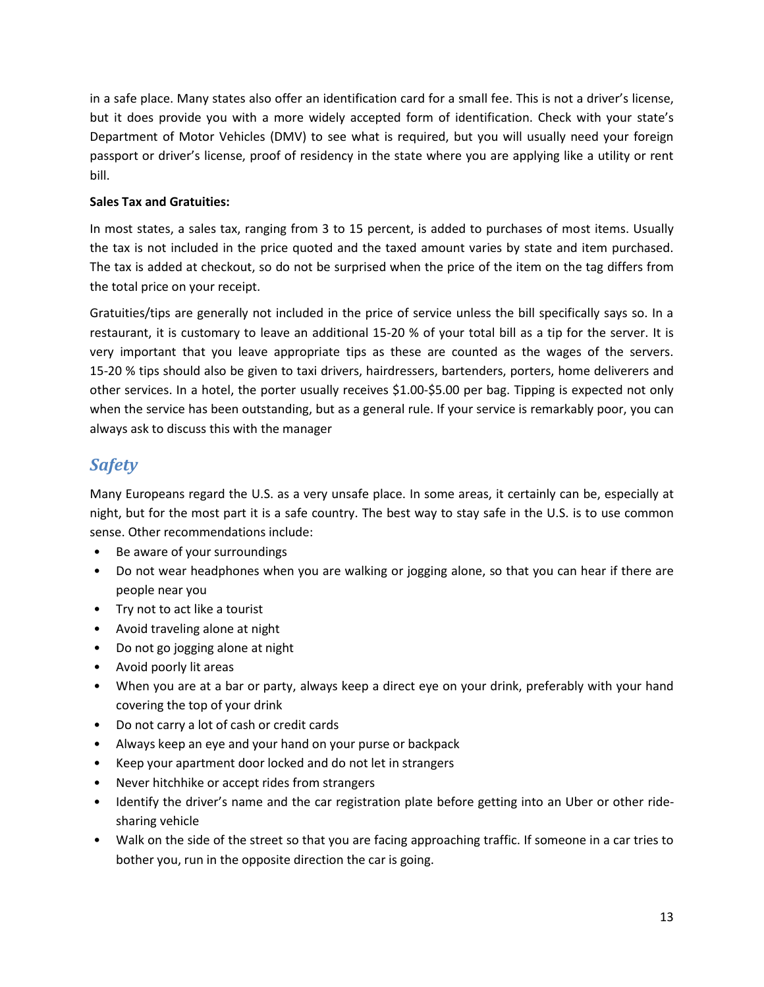in a safe place. Many states also offer an identification card for a small fee. This is not a driver's license, but it does provide you with a more widely accepted form of identification. Check with your state's Department of Motor Vehicles (DMV) to see what is required, but you will usually need your foreign passport or driver's license, proof of residency in the state where you are applying like a utility or rent bill.

## **Sales Tax and Gratuities:**

In most states, a sales tax, ranging from 3 to 15 percent, is added to purchases of most items. Usually the tax is not included in the price quoted and the taxed amount varies by state and item purchased. The tax is added at checkout, so do not be surprised when the price of the item on the tag differs from the total price on your receipt.

Gratuities/tips are generally not included in the price of service unless the bill specifically says so. In a restaurant, it is customary to leave an additional 15-20 % of your total bill as a tip for the server. It is very important that you leave appropriate tips as these are counted as the wages of the servers. 15-20 % tips should also be given to taxi drivers, hairdressers, bartenders, porters, home deliverers and other services. In a hotel, the porter usually receives \$1.00-\$5.00 per bag. Tipping is expected not only when the service has been outstanding, but as a general rule. If your service is remarkably poor, you can always ask to discuss this with the manager

# <span id="page-13-0"></span>*Safety*

Many Europeans regard the U.S. as a very unsafe place. In some areas, it certainly can be, especially at night, but for the most part it is a safe country. The best way to stay safe in the U.S. is to use common sense. Other recommendations include:

- Be aware of your surroundings
- Do not wear headphones when you are walking or jogging alone, so that you can hear if there are people near you
- Try not to act like a tourist
- Avoid traveling alone at night
- Do not go jogging alone at night
- Avoid poorly lit areas
- When you are at a bar or party, always keep a direct eye on your drink, preferably with your hand covering the top of your drink
- Do not carry a lot of cash or credit cards
- Always keep an eye and your hand on your purse or backpack
- Keep your apartment door locked and do not let in strangers
- Never hitchhike or accept rides from strangers
- Identify the driver's name and the car registration plate before getting into an Uber or other ridesharing vehicle
- Walk on the side of the street so that you are facing approaching traffic. If someone in a car tries to bother you, run in the opposite direction the car is going.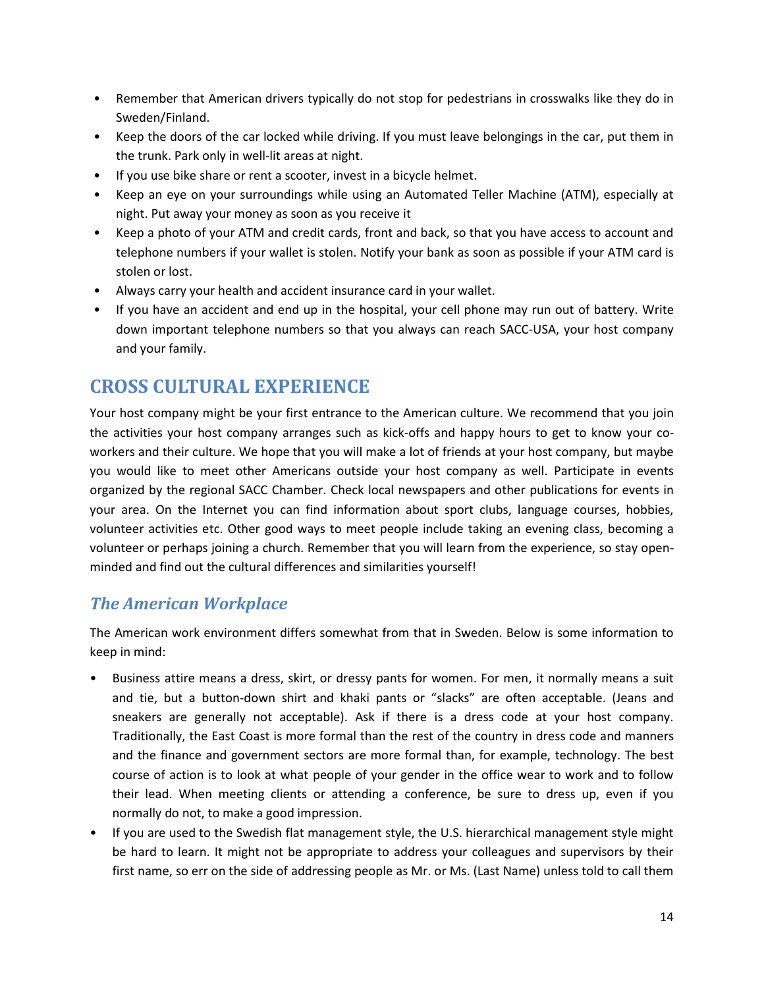- Remember that American drivers typically do not stop for pedestrians in crosswalks like they do in Sweden/Finland.
- Keep the doors of the car locked while driving. If you must leave belongings in the car, put them in the trunk. Park only in well-lit areas at night.
- If you use bike share or rent a scooter, invest in a bicycle helmet.
- Keep an eye on your surroundings while using an Automated Teller Machine (ATM), especially at night. Put away your money as soon as you receive it
- Keep a photo of your ATM and credit cards, front and back, so that you have access to account and telephone numbers if your wallet is stolen. Notify your bank as soon as possible if your ATM card is stolen or lost.
- Always carry your health and accident insurance card in your wallet.
- If you have an accident and end up in the hospital, your cell phone may run out of battery. Write down important telephone numbers so that you always can reach SACC-USA, your host company and your family.

# <span id="page-14-0"></span>**CROSS CULTURAL EXPERIENCE**

Your host company might be your first entrance to the American culture. We recommend that you join the activities your host company arranges such as kick-offs and happy hours to get to know your coworkers and their culture. We hope that you will make a lot of friends at your host company, but maybe you would like to meet other Americans outside your host company as well. Participate in events organized by the regional SACC Chamber. Check local newspapers and other publications for events in your area. On the Internet you can find information about sport clubs, language courses, hobbies, volunteer activities etc. Other good ways to meet people include taking an evening class, becoming a volunteer or perhaps joining a church. Remember that you will learn from the experience, so stay openminded and find out the cultural differences and similarities yourself!

# <span id="page-14-1"></span>*The American Workplace*

The American work environment differs somewhat from that in Sweden. Below is some information to keep in mind:

- Business attire means a dress, skirt, or dressy pants for women. For men, it normally means a suit and tie, but a button-down shirt and khaki pants or "slacks" are often acceptable. (Jeans and sneakers are generally not acceptable). Ask if there is a dress code at your host company. Traditionally, the East Coast is more formal than the rest of the country in dress code and manners and the finance and government sectors are more formal than, for example, technology. The best course of action is to look at what people of your gender in the office wear to work and to follow their lead. When meeting clients or attending a conference, be sure to dress up, even if you normally do not, to make a good impression.
- If you are used to the Swedish flat management style, the U.S. hierarchical management style might be hard to learn. It might not be appropriate to address your colleagues and supervisors by their first name, so err on the side of addressing people as Mr. or Ms. (Last Name) unless told to call them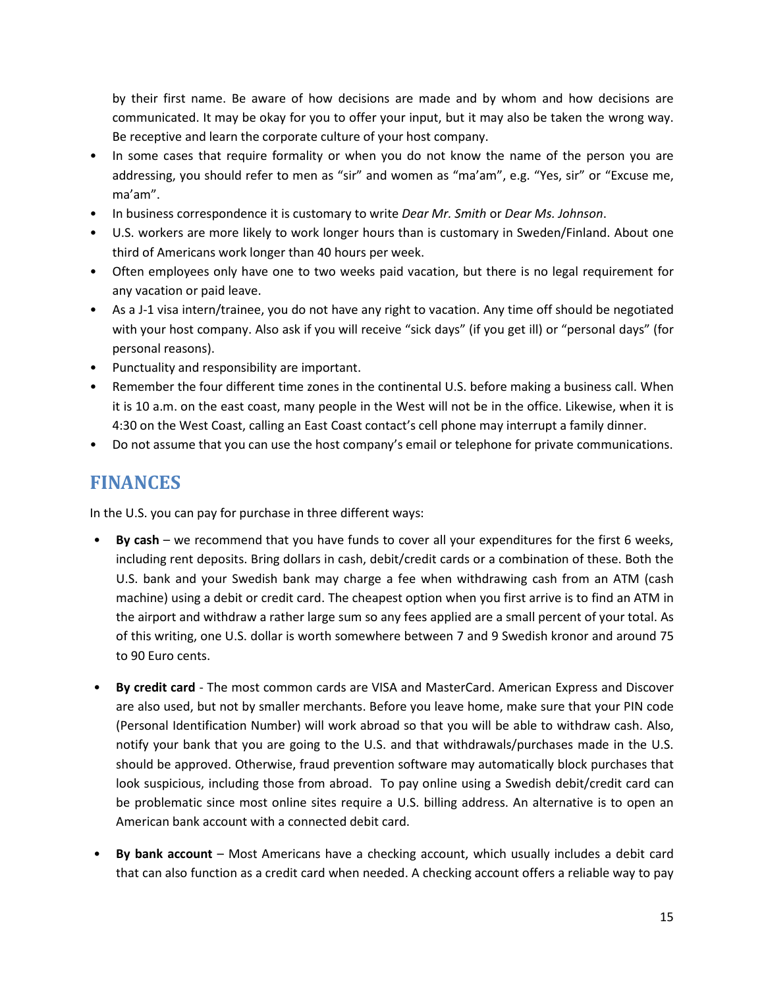by their first name. Be aware of how decisions are made and by whom and how decisions are communicated. It may be okay for you to offer your input, but it may also be taken the wrong way. Be receptive and learn the corporate culture of your host company.

- In some cases that require formality or when you do not know the name of the person you are addressing, you should refer to men as "sir" and women as "ma'am", e.g. "Yes, sir" or "Excuse me, ma'am".
- In business correspondence it is customary to write *Dear Mr. Smith* or *Dear Ms. Johnson*.
- U.S. workers are more likely to work longer hours than is customary in Sweden/Finland. About one third of Americans work longer than 40 hours per week.
- Often employees only have one to two weeks paid vacation, but there is no legal requirement for any vacation or paid leave.
- As a J-1 visa intern/trainee, you do not have any right to vacation. Any time off should be negotiated with your host company. Also ask if you will receive "sick days" (if you get ill) or "personal days" (for personal reasons).
- Punctuality and responsibility are important.
- Remember the four different time zones in the continental U.S. before making a business call. When it is 10 a.m. on the east coast, many people in the West will not be in the office. Likewise, when it is 4:30 on the West Coast, calling an East Coast contact's cell phone may interrupt a family dinner.
- Do not assume that you can use the host company's email or telephone for private communications.

# <span id="page-15-0"></span>**FINANCES**

In the U.S. you can pay for purchase in three different ways:

- **By cash** we recommend that you have funds to cover all your expenditures for the first 6 weeks, including rent deposits. Bring dollars in cash, debit/credit cards or a combination of these. Both the U.S. bank and your Swedish bank may charge a fee when withdrawing cash from an ATM (cash machine) using a debit or credit card. The cheapest option when you first arrive is to find an ATM in the airport and withdraw a rather large sum so any fees applied are a small percent of your total. As of this writing, one U.S. dollar is worth somewhere between 7 and 9 Swedish kronor and around 75 to 90 Euro cents.
- **By credit card** The most common cards are VISA and MasterCard. American Express and Discover are also used, but not by smaller merchants. Before you leave home, make sure that your PIN code (Personal Identification Number) will work abroad so that you will be able to withdraw cash. Also, notify your bank that you are going to the U.S. and that withdrawals/purchases made in the U.S. should be approved. Otherwise, fraud prevention software may automatically block purchases that look suspicious, including those from abroad. To pay online using a Swedish debit/credit card can be problematic since most online sites require a U.S. billing address. An alternative is to open an American bank account with a connected debit card.
- **By bank account** Most Americans have a checking account, which usually includes a debit card that can also function as a credit card when needed. A checking account offers a reliable way to pay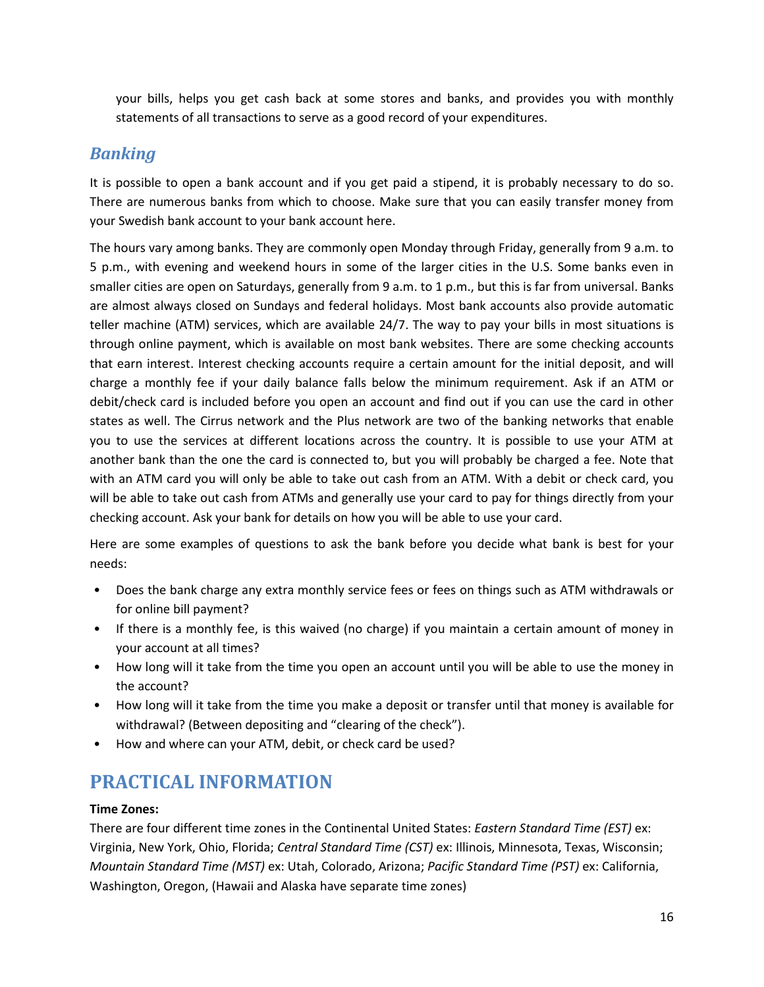your bills, helps you get cash back at some stores and banks, and provides you with monthly statements of all transactions to serve as a good record of your expenditures.

# <span id="page-16-0"></span>*Banking*

It is possible to open a bank account and if you get paid a stipend, it is probably necessary to do so. There are numerous banks from which to choose. Make sure that you can easily transfer money from your Swedish bank account to your bank account here.

The hours vary among banks. They are commonly open Monday through Friday, generally from 9 a.m. to 5 p.m., with evening and weekend hours in some of the larger cities in the U.S. Some banks even in smaller cities are open on Saturdays, generally from 9 a.m. to 1 p.m., but this is far from universal. Banks are almost always closed on Sundays and federal holidays. Most bank accounts also provide automatic teller machine (ATM) services, which are available 24/7. The way to pay your bills in most situations is through online payment, which is available on most bank websites. There are some checking accounts that earn interest. Interest checking accounts require a certain amount for the initial deposit, and will charge a monthly fee if your daily balance falls below the minimum requirement. Ask if an ATM or debit/check card is included before you open an account and find out if you can use the card in other states as well. The Cirrus network and the Plus network are two of the banking networks that enable you to use the services at different locations across the country. It is possible to use your ATM at another bank than the one the card is connected to, but you will probably be charged a fee. Note that with an ATM card you will only be able to take out cash from an ATM. With a debit or check card, you will be able to take out cash from ATMs and generally use your card to pay for things directly from your checking account. Ask your bank for details on how you will be able to use your card.

Here are some examples of questions to ask the bank before you decide what bank is best for your needs:

- Does the bank charge any extra monthly service fees or fees on things such as ATM withdrawals or for online bill payment?
- If there is a monthly fee, is this waived (no charge) if you maintain a certain amount of money in your account at all times?
- How long will it take from the time you open an account until you will be able to use the money in the account?
- How long will it take from the time you make a deposit or transfer until that money is available for withdrawal? (Between depositing and "clearing of the check").
- How and where can your ATM, debit, or check card be used?

# <span id="page-16-1"></span>**PRACTICAL INFORMATION**

## **Time Zones:**

There are four different time zones in the Continental United States: *Eastern Standard Time (EST)* ex: Virginia, New York, Ohio, Florida; *Central Standard Time (CST)* ex: Illinois, Minnesota, Texas, Wisconsin; *Mountain Standard Time (MST)* ex: Utah, Colorado, Arizona; *Pacific Standard Time (PST)* ex: California, Washington, Oregon, (Hawaii and Alaska have separate time zones)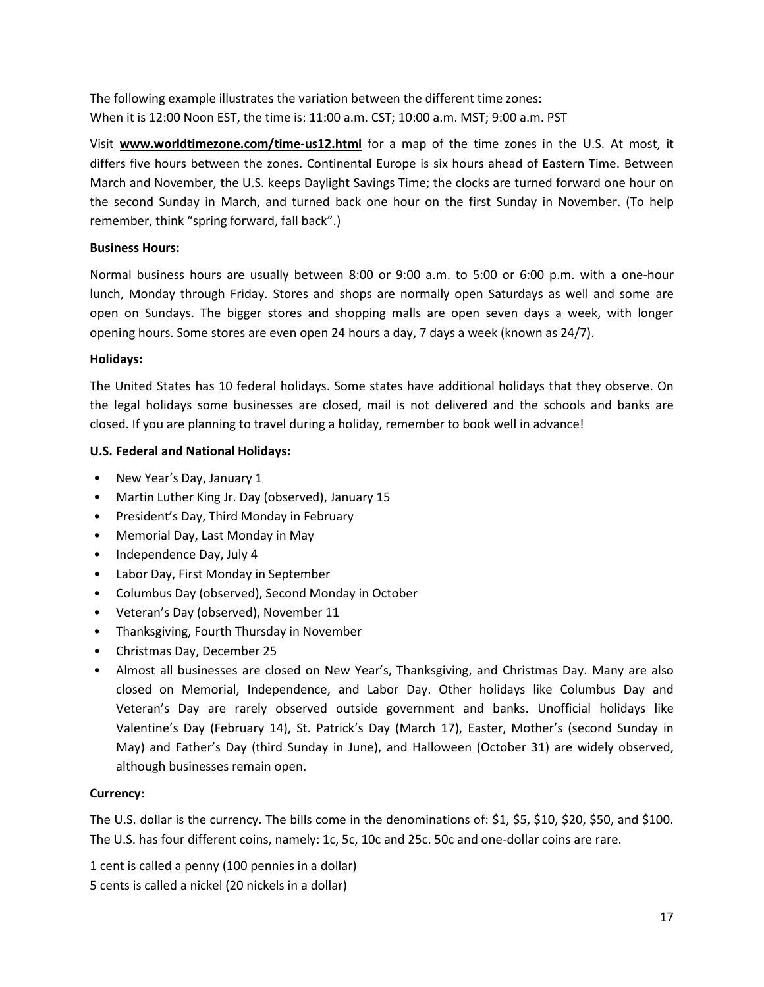The following example illustrates the variation between the different time zones: When it is 12:00 Noon EST, the time is: 11:00 a.m. CST; 10:00 a.m. MST; 9:00 a.m. PST

Visit **www.worldtimezone.com/time-us12.html** for a map of the time zones in the U.S. At most, it differs five hours between the zones. Continental Europe is six hours ahead of Eastern Time. Between March and November, the U.S. keeps Daylight Savings Time; the clocks are turned forward one hour on the second Sunday in March, and turned back one hour on the first Sunday in November. (To help remember, think "spring forward, fall back".)

## **Business Hours:**

Normal business hours are usually between 8:00 or 9:00 a.m. to 5:00 or 6:00 p.m. with a one-hour lunch, Monday through Friday. Stores and shops are normally open Saturdays as well and some are open on Sundays. The bigger stores and shopping malls are open seven days a week, with longer opening hours. Some stores are even open 24 hours a day, 7 days a week (known as 24/7).

## **Holidays:**

The United States has 10 federal holidays. Some states have additional holidays that they observe. On the legal holidays some businesses are closed, mail is not delivered and the schools and banks are closed. If you are planning to travel during a holiday, remember to book well in advance!

## **U.S. Federal and National Holidays:**

- New Year's Day, January 1
- Martin Luther King Jr. Day (observed), January 15
- President's Day, Third Monday in February
- Memorial Day, Last Monday in May
- Independence Day, July 4
- Labor Day, First Monday in September
- Columbus Day (observed), Second Monday in October
- Veteran's Day (observed), November 11
- Thanksgiving, Fourth Thursday in November
- Christmas Day, December 25
- Almost all businesses are closed on New Year's, Thanksgiving, and Christmas Day. Many are also closed on Memorial, Independence, and Labor Day. Other holidays like Columbus Day and Veteran's Day are rarely observed outside government and banks. Unofficial holidays like Valentine's Day (February 14), St. Patrick's Day (March 17), Easter, Mother's (second Sunday in May) and Father's Day (third Sunday in June), and Halloween (October 31) are widely observed, although businesses remain open.

## **Currency:**

The U.S. dollar is the currency. The bills come in the denominations of: \$1, \$5, \$10, \$20, \$50, and \$100. The U.S. has four different coins, namely: 1c, 5c, 10c and 25c. 50c and one-dollar coins are rare.

1 cent is called a penny (100 pennies in a dollar)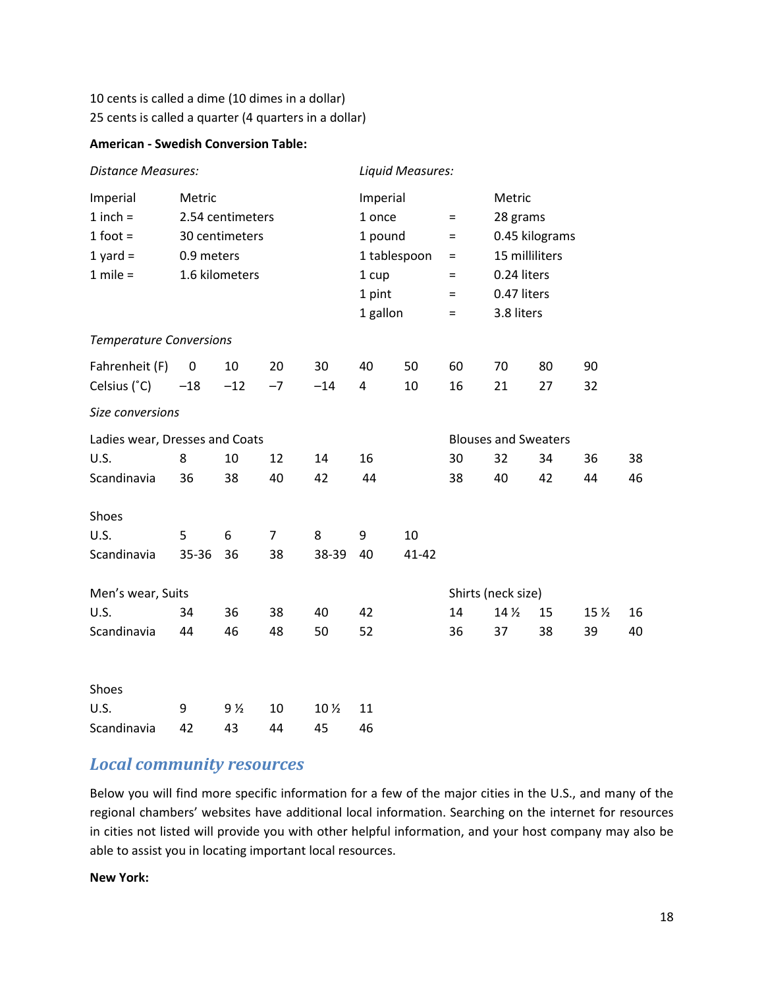## 10 cents is called a dime (10 dimes in a dollar) 25 cents is called a quarter (4 quarters in a dollar)

## **American - Swedish Conversion Table:**

| <b>Distance Measures:</b>      |                  |                |                |                 | Liquid Measures:         |                     |                             |                    |                |                 |    |  |
|--------------------------------|------------------|----------------|----------------|-----------------|--------------------------|---------------------|-----------------------------|--------------------|----------------|-----------------|----|--|
| Imperial                       | Metric           |                |                |                 | Imperial                 |                     |                             |                    | Metric         |                 |    |  |
| $1$ inch =                     | 2.54 centimeters |                |                |                 | 1 once<br>$\equiv$       |                     |                             |                    | 28 grams       |                 |    |  |
| $1$ foot =                     | 30 centimeters   |                |                |                 |                          | 1 pound<br>$\equiv$ |                             |                    | 0.45 kilograms |                 |    |  |
| $1$ yard =                     | 0.9 meters       |                |                |                 | 1 tablespoon<br>$\equiv$ |                     |                             | 15 milliliters     |                |                 |    |  |
| $1$ mile =                     |                  | 1.6 kilometers |                |                 | 1 cup<br>$\equiv$        |                     | 0.24 liters                 |                    |                |                 |    |  |
|                                |                  |                |                |                 | 1 pint<br>$=$            |                     |                             |                    | 0.47 liters    |                 |    |  |
|                                |                  |                |                |                 | 1 gallon<br>$=$          |                     | 3.8 liters                  |                    |                |                 |    |  |
| <b>Temperature Conversions</b> |                  |                |                |                 |                          |                     |                             |                    |                |                 |    |  |
| Fahrenheit (F)                 | 0                | 10             | 20             | 30              | 40                       | 50                  | 60                          | 70                 | 80             | 90              |    |  |
| Celsius (°C)                   | $-18$            | $-12$          | $-7$           | $-14$           | 4                        | 10                  | 16                          | 21                 | 27             | 32              |    |  |
| Size conversions               |                  |                |                |                 |                          |                     |                             |                    |                |                 |    |  |
| Ladies wear, Dresses and Coats |                  |                |                |                 |                          |                     | <b>Blouses and Sweaters</b> |                    |                |                 |    |  |
| U.S.                           | 8                | 10             | 12             | 14              | 16                       |                     | 30                          | 32                 | 34             | 36              | 38 |  |
| Scandinavia                    | 36               | 38             | 40             | 42              | 44                       |                     | 38                          | 40                 | 42             | 44              | 46 |  |
| Shoes                          |                  |                |                |                 |                          |                     |                             |                    |                |                 |    |  |
| U.S.                           | 5                | 6              | $\overline{7}$ | 8               | 9                        | 10                  |                             |                    |                |                 |    |  |
| Scandinavia                    | 35-36            | 36             | 38             | 38-39           | 40                       | $41 - 42$           |                             |                    |                |                 |    |  |
| Men's wear, Suits              |                  |                |                |                 |                          |                     |                             | Shirts (neck size) |                |                 |    |  |
| U.S.                           | 34               | 36             | 38             | 40              | 42                       |                     | 14                          | 14 <sub>2</sub>    | 15             | 15 <sub>2</sub> | 16 |  |
| Scandinavia                    | 44               | 46             | 48             | 50              | 52                       |                     | 36                          | 37                 | 38             | 39              | 40 |  |
| Shoes                          |                  |                |                |                 |                          |                     |                             |                    |                |                 |    |  |
| U.S.                           | 9                | 9 ½            | 10             | 10 <sub>2</sub> | 11                       |                     |                             |                    |                |                 |    |  |
| Scandinavia                    | 42               | 43             | 44             | 45              | 46                       |                     |                             |                    |                |                 |    |  |

# <span id="page-18-0"></span>*Local community resources*

Below you will find more specific information for a few of the major cities in the U.S., and many of the regional chambers' websites have additional local information. Searching on the internet for resources in cities not listed will provide you with other helpful information, and your host company may also be able to assist you in locating important local resources.

## **New York:**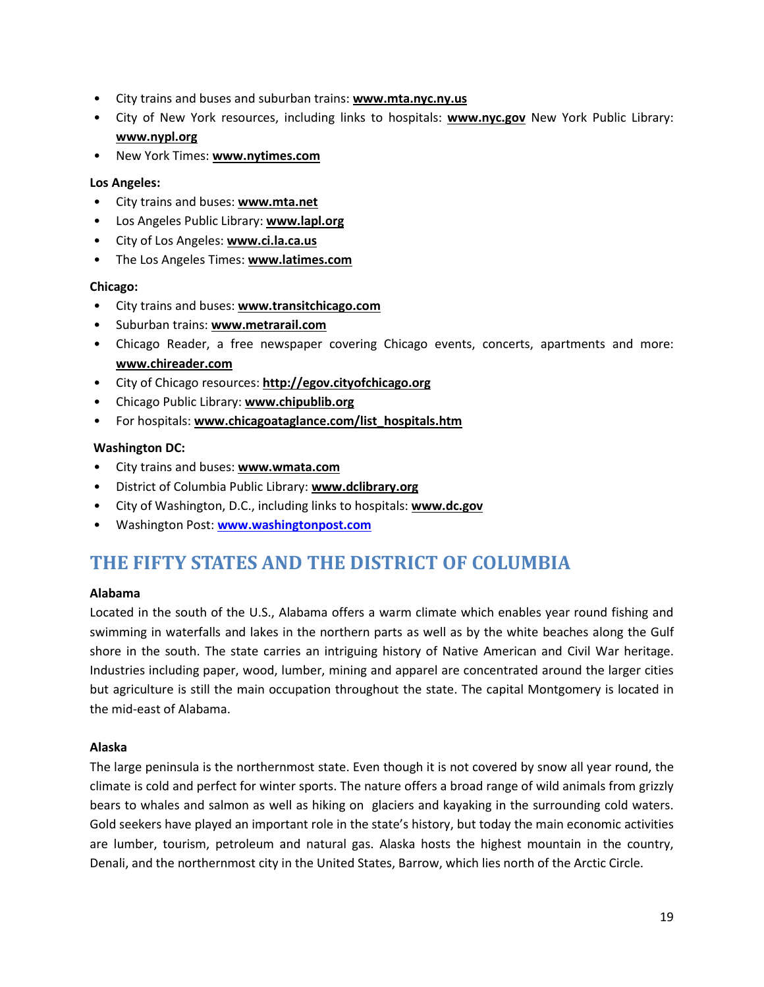- City trains and buses and suburban trains: **[www.mta.nyc.ny.us](http://www.mta.nyc.ny.us/)**
- City of New York resources, including links to hospitals: **www.nyc.gov** New York Public Library: **www.nypl.org**
- New York Times: **[www.nytimes.com](http://www.nytimes.com/)**

## **Los Angeles:**

- City trains and buses: **[www.mta.net](http://www.mta.net/)**
- Los Angeles Public Library: **[www.lapl.org](http://www.lapl.org/)**
- City of Los Angeles: **[www.ci.la.ca.us](http://www.ci.la.ca.us/)**
- The Los Angeles Times: **[www.latimes.com](http://www.latimes.com/)**

## **Chicago:**

- City trains and buses: **www.transitchicago.com**
- Suburban trains: **[www.metrarail.com](http://www.metrarail.com/)**
- Chicago Reader, a free newspaper covering Chicago events, concerts, apartments and more: **[www.chireader.com](http://www.chireader.com/)**
- City of Chicago resources: **[http://egov.cityofchicago.org](http://egov.cityofchicago.org/)**
- Chicago Public Library: **[www.chipublib.org](http://www.chipublib.org/)**
- For hospitals: **[www.chicagoataglance.com/list\\_hospitals.htm](http://www.chicagoataglance.com/list_hospitals.htm)**

## **Washington DC:**

- City trains and buses: **[www.wmata.com](http://www.wmata.com/)**
- District of Columbia Public Library: **[www.dclibrary.org](http://www.dclibrary.org/)**
- City of Washington, D.C., including links to hospitals: **[www.dc.gov](http://www.dc.gov/)**
- Washington Post: **[www.washingtonpost.com](http://www.washingtonpost.com/)**

# <span id="page-19-0"></span>**THE FIFTY STATES AND THE DISTRICT OF COLUMBIA**

## **Alabama**

Located in the south of the U.S., Alabama offers a warm climate which enables year round fishing and swimming in waterfalls and lakes in the northern parts as well as by the white beaches along the Gulf shore in the south. The state carries an intriguing history of Native American and Civil War heritage. Industries including paper, wood, lumber, mining and apparel are concentrated around the larger cities but agriculture is still the main occupation throughout the state. The capital Montgomery is located in the mid-east of Alabama.

## **Alaska**

The large peninsula is the northernmost state. Even though it is not covered by snow all year round, the climate is cold and perfect for winter sports. The nature offers a broad range of wild animals from grizzly bears to whales and salmon as well as hiking on glaciers and kayaking in the surrounding cold waters. Gold seekers have played an important role in the state's history, but today the main economic activities are lumber, tourism, petroleum and natural gas. Alaska hosts the highest mountain in the country, Denali, and the northernmost city in the United States, Barrow, which lies north of the Arctic Circle.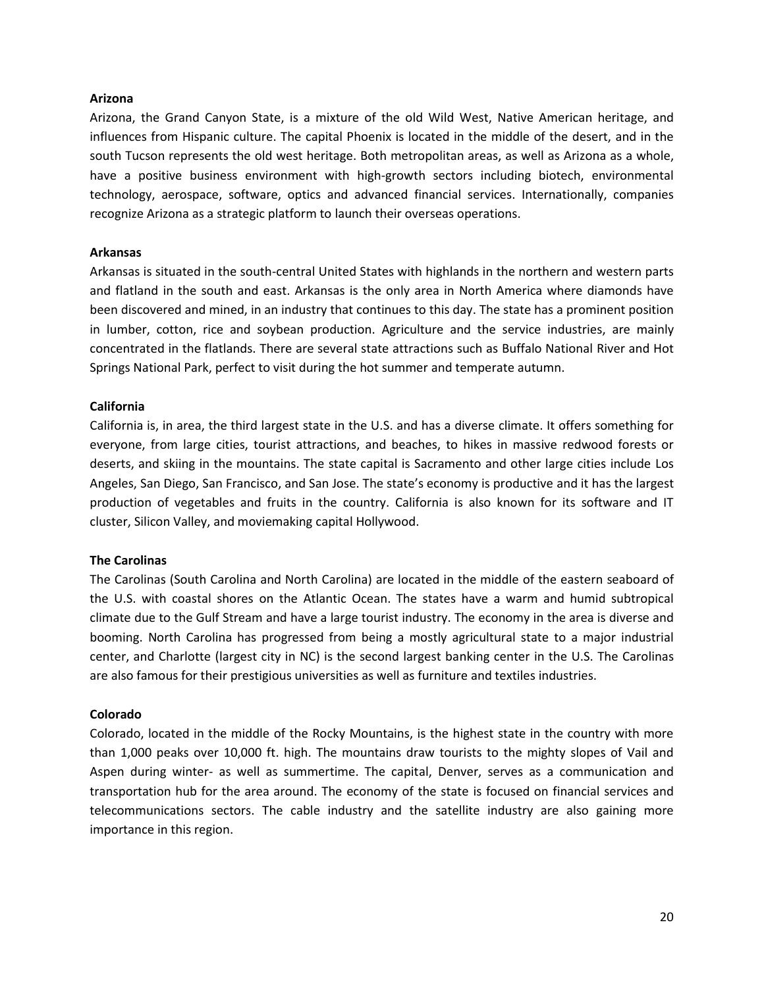#### **Arizona**

Arizona, the Grand Canyon State, is a mixture of the old Wild West, Native American heritage, and influences from Hispanic culture. The capital Phoenix is located in the middle of the desert, and in the south Tucson represents the old west heritage. Both metropolitan areas, as well as Arizona as a whole, have a positive business environment with high-growth sectors including biotech, environmental technology, aerospace, software, optics and advanced financial services. Internationally, companies recognize Arizona as a strategic platform to launch their overseas operations.

#### **Arkansas**

Arkansas is situated in the south-central United States with highlands in the northern and western parts and flatland in the south and east. Arkansas is the only area in North America where diamonds have been discovered and mined, in an industry that continues to this day. The state has a prominent position in lumber, cotton, rice and soybean production. Agriculture and the service industries, are mainly concentrated in the flatlands. There are several state attractions such as Buffalo National River and Hot Springs National Park, perfect to visit during the hot summer and temperate autumn.

#### **California**

California is, in area, the third largest state in the U.S. and has a diverse climate. It offers something for everyone, from large cities, tourist attractions, and beaches, to hikes in massive redwood forests or deserts, and skiing in the mountains. The state capital is Sacramento and other large cities include Los Angeles, San Diego, San Francisco, and San Jose. The state's economy is productive and it has the largest production of vegetables and fruits in the country. California is also known for its software and IT cluster, Silicon Valley, and moviemaking capital Hollywood.

#### **The Carolinas**

The Carolinas (South Carolina and North Carolina) are located in the middle of the eastern seaboard of the U.S. with coastal shores on the Atlantic Ocean. The states have a warm and humid subtropical climate due to the Gulf Stream and have a large tourist industry. The economy in the area is diverse and booming. North Carolina has progressed from being a mostly agricultural state to a major industrial center, and Charlotte (largest city in NC) is the second largest banking center in the U.S. The Carolinas are also famous for their prestigious universities as well as furniture and textiles industries.

#### **Colorado**

Colorado, located in the middle of the Rocky Mountains, is the highest state in the country with more than 1,000 peaks over 10,000 ft. high. The mountains draw tourists to the mighty slopes of Vail and Aspen during winter- as well as summertime. The capital, Denver, serves as a communication and transportation hub for the area around. The economy of the state is focused on financial services and telecommunications sectors. The cable industry and the satellite industry are also gaining more importance in this region.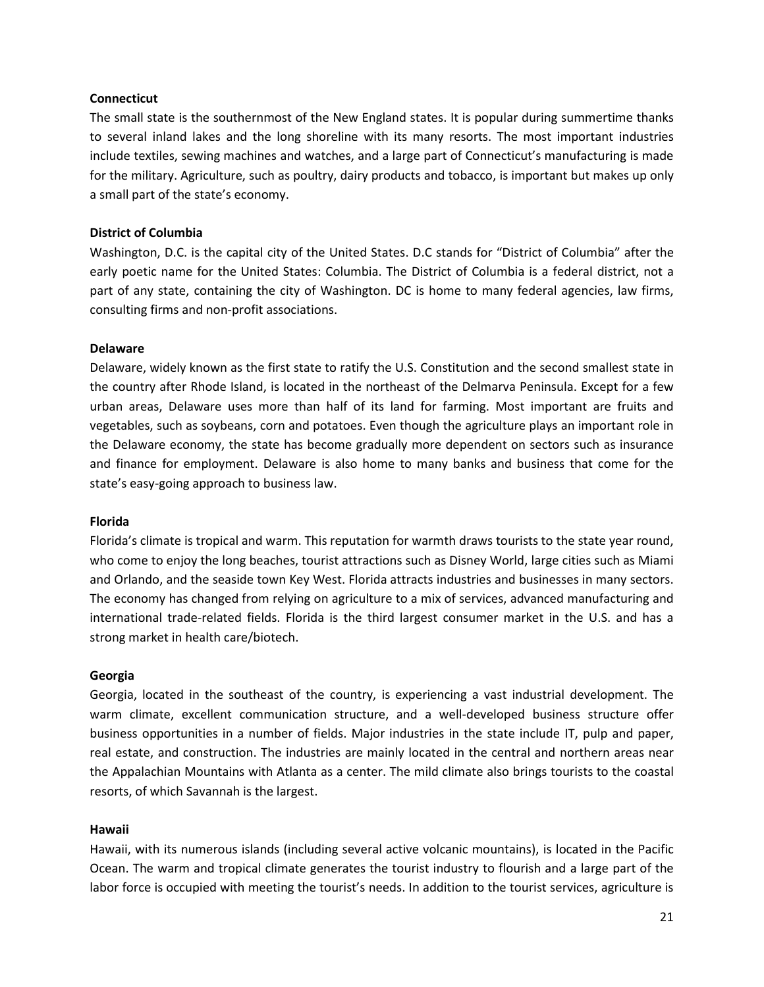#### **Connecticut**

The small state is the southernmost of the New England states. It is popular during summertime thanks to several inland lakes and the long shoreline with its many resorts. The most important industries include textiles, sewing machines and watches, and a large part of Connecticut's manufacturing is made for the military. Agriculture, such as poultry, dairy products and tobacco, is important but makes up only a small part of the state's economy.

#### **District of Columbia**

Washington, D.C. is the capital city of the United States. D.C stands for "District of Columbia" after the early poetic name for the United States: Columbia. The District of Columbia is a federal district, not a part of any state, containing the city of Washington. DC is home to many federal agencies, law firms, consulting firms and non-profit associations.

#### **Delaware**

Delaware, widely known as the first state to ratify the U.S. Constitution and the second smallest state in the country after Rhode Island, is located in the northeast of the Delmarva Peninsula. Except for a few urban areas, Delaware uses more than half of its land for farming. Most important are fruits and vegetables, such as soybeans, corn and potatoes. Even though the agriculture plays an important role in the Delaware economy, the state has become gradually more dependent on sectors such as insurance and finance for employment. Delaware is also home to many banks and business that come for the state's easy-going approach to business law.

#### **Florida**

Florida's climate is tropical and warm. This reputation for warmth draws tourists to the state year round, who come to enjoy the long beaches, tourist attractions such as Disney World, large cities such as Miami and Orlando, and the seaside town Key West. Florida attracts industries and businesses in many sectors. The economy has changed from relying on agriculture to a mix of services, advanced manufacturing and international trade-related fields. Florida is the third largest consumer market in the U.S. and has a strong market in health care/biotech.

#### **Georgia**

Georgia, located in the southeast of the country, is experiencing a vast industrial development. The warm climate, excellent communication structure, and a well-developed business structure offer business opportunities in a number of fields. Major industries in the state include IT, pulp and paper, real estate, and construction. The industries are mainly located in the central and northern areas near the Appalachian Mountains with Atlanta as a center. The mild climate also brings tourists to the coastal resorts, of which Savannah is the largest.

#### **Hawaii**

Hawaii, with its numerous islands (including several active volcanic mountains), is located in the Pacific Ocean. The warm and tropical climate generates the tourist industry to flourish and a large part of the labor force is occupied with meeting the tourist's needs. In addition to the tourist services, agriculture is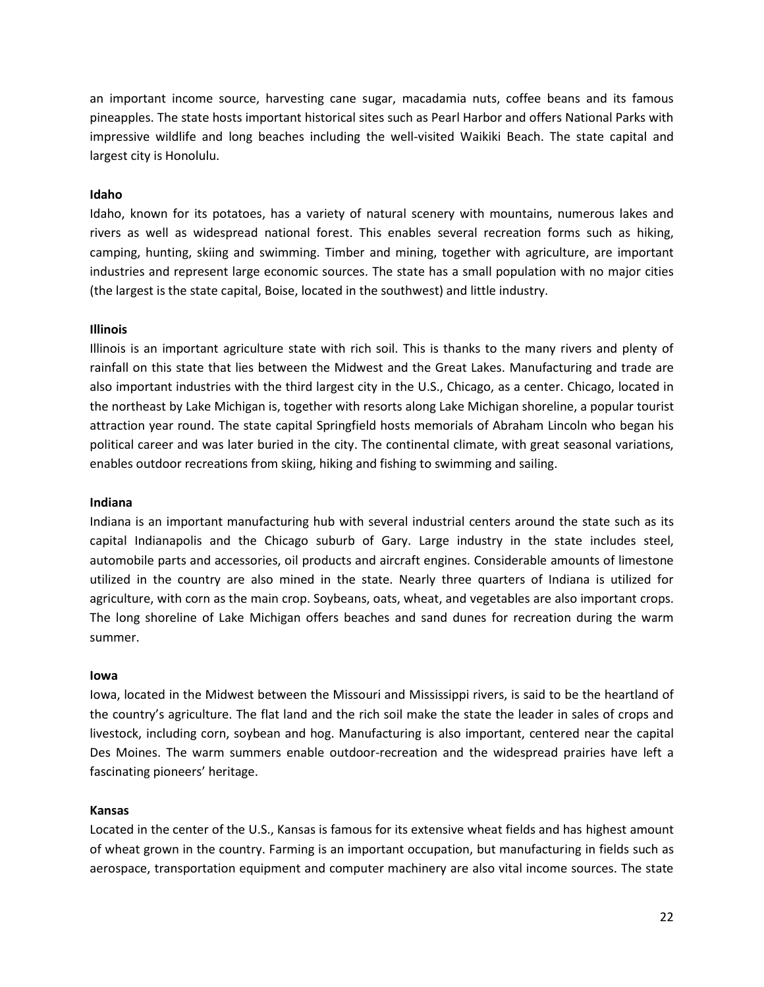an important income source, harvesting cane sugar, macadamia nuts, coffee beans and its famous pineapples. The state hosts important historical sites such as Pearl Harbor and offers National Parks with impressive wildlife and long beaches including the well-visited Waikiki Beach. The state capital and largest city is Honolulu.

#### **Idaho**

Idaho, known for its potatoes, has a variety of natural scenery with mountains, numerous lakes and rivers as well as widespread national forest. This enables several recreation forms such as hiking, camping, hunting, skiing and swimming. Timber and mining, together with agriculture, are important industries and represent large economic sources. The state has a small population with no major cities (the largest is the state capital, Boise, located in the southwest) and little industry.

#### **Illinois**

Illinois is an important agriculture state with rich soil. This is thanks to the many rivers and plenty of rainfall on this state that lies between the Midwest and the Great Lakes. Manufacturing and trade are also important industries with the third largest city in the U.S., Chicago, as a center. Chicago, located in the northeast by Lake Michigan is, together with resorts along Lake Michigan shoreline, a popular tourist attraction year round. The state capital Springfield hosts memorials of Abraham Lincoln who began his political career and was later buried in the city. The continental climate, with great seasonal variations, enables outdoor recreations from skiing, hiking and fishing to swimming and sailing.

#### **Indiana**

Indiana is an important manufacturing hub with several industrial centers around the state such as its capital Indianapolis and the Chicago suburb of Gary. Large industry in the state includes steel, automobile parts and accessories, oil products and aircraft engines. Considerable amounts of limestone utilized in the country are also mined in the state. Nearly three quarters of Indiana is utilized for agriculture, with corn as the main crop. Soybeans, oats, wheat, and vegetables are also important crops. The long shoreline of Lake Michigan offers beaches and sand dunes for recreation during the warm summer.

#### **Iowa**

Iowa, located in the Midwest between the Missouri and Mississippi rivers, is said to be the heartland of the country's agriculture. The flat land and the rich soil make the state the leader in sales of crops and livestock, including corn, soybean and hog. Manufacturing is also important, centered near the capital Des Moines. The warm summers enable outdoor-recreation and the widespread prairies have left a fascinating pioneers' heritage.

#### **Kansas**

Located in the center of the U.S., Kansas is famous for its extensive wheat fields and has highest amount of wheat grown in the country. Farming is an important occupation, but manufacturing in fields such as aerospace, transportation equipment and computer machinery are also vital income sources. The state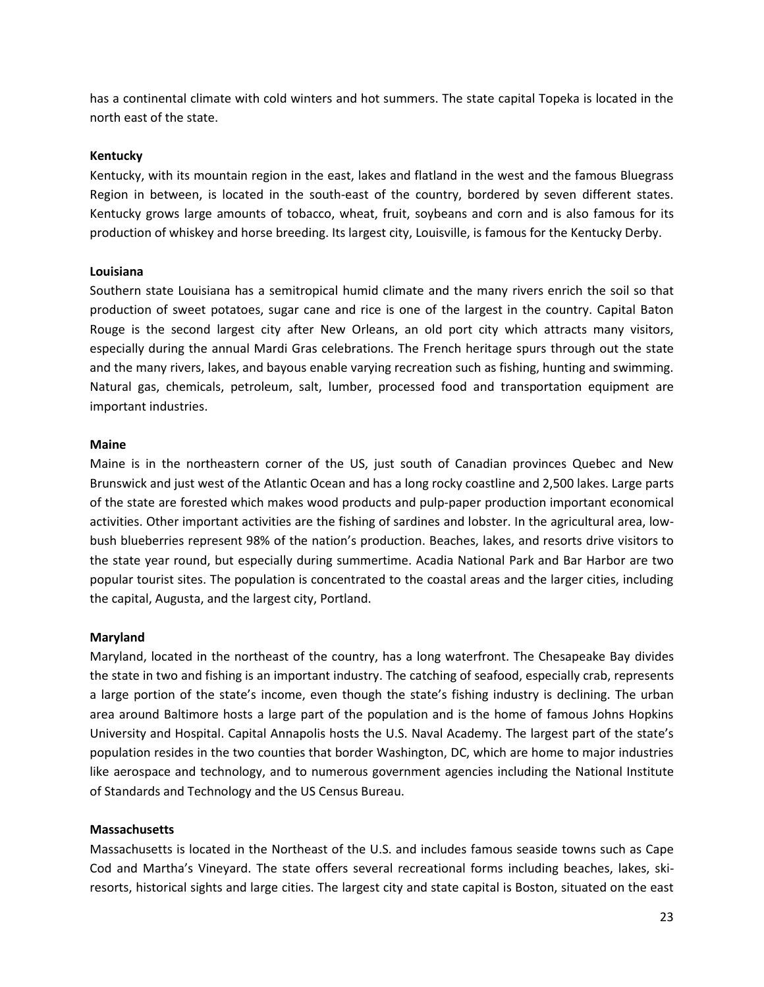has a continental climate with cold winters and hot summers. The state capital Topeka is located in the north east of the state.

#### **Kentucky**

Kentucky, with its mountain region in the east, lakes and flatland in the west and the famous Bluegrass Region in between, is located in the south-east of the country, bordered by seven different states. Kentucky grows large amounts of tobacco, wheat, fruit, soybeans and corn and is also famous for its production of whiskey and horse breeding. Its largest city, Louisville, is famous for the Kentucky Derby.

#### **Louisiana**

Southern state Louisiana has a semitropical humid climate and the many rivers enrich the soil so that production of sweet potatoes, sugar cane and rice is one of the largest in the country. Capital Baton Rouge is the second largest city after New Orleans, an old port city which attracts many visitors, especially during the annual Mardi Gras celebrations. The French heritage spurs through out the state and the many rivers, lakes, and bayous enable varying recreation such as fishing, hunting and swimming. Natural gas, chemicals, petroleum, salt, lumber, processed food and transportation equipment are important industries.

#### **Maine**

Maine is in the northeastern corner of the US, just south of Canadian provinces Quebec and New Brunswick and just west of the Atlantic Ocean and has a long rocky coastline and 2,500 lakes. Large parts of the state are forested which makes wood products and pulp-paper production important economical activities. Other important activities are the fishing of sardines and lobster. In the agricultural area, lowbush blueberries represent 98% of the nation's production. Beaches, lakes, and resorts drive visitors to the state year round, but especially during summertime. Acadia National Park and Bar Harbor are two popular tourist sites. The population is concentrated to the coastal areas and the larger cities, including the capital, Augusta, and the largest city, Portland.

## **Maryland**

Maryland, located in the northeast of the country, has a long waterfront. The Chesapeake Bay divides the state in two and fishing is an important industry. The catching of seafood, especially crab, represents a large portion of the state's income, even though the state's fishing industry is declining. The urban area around Baltimore hosts a large part of the population and is the home of famous Johns Hopkins University and Hospital. Capital Annapolis hosts the U.S. Naval Academy. The largest part of the state's population resides in the two counties that border Washington, DC, which are home to major industries like aerospace and technology, and to numerous government agencies including the National Institute of Standards and Technology and the US Census Bureau.

## **Massachusetts**

Massachusetts is located in the Northeast of the U.S. and includes famous seaside towns such as Cape Cod and Martha's Vineyard. The state offers several recreational forms including beaches, lakes, skiresorts, historical sights and large cities. The largest city and state capital is Boston, situated on the east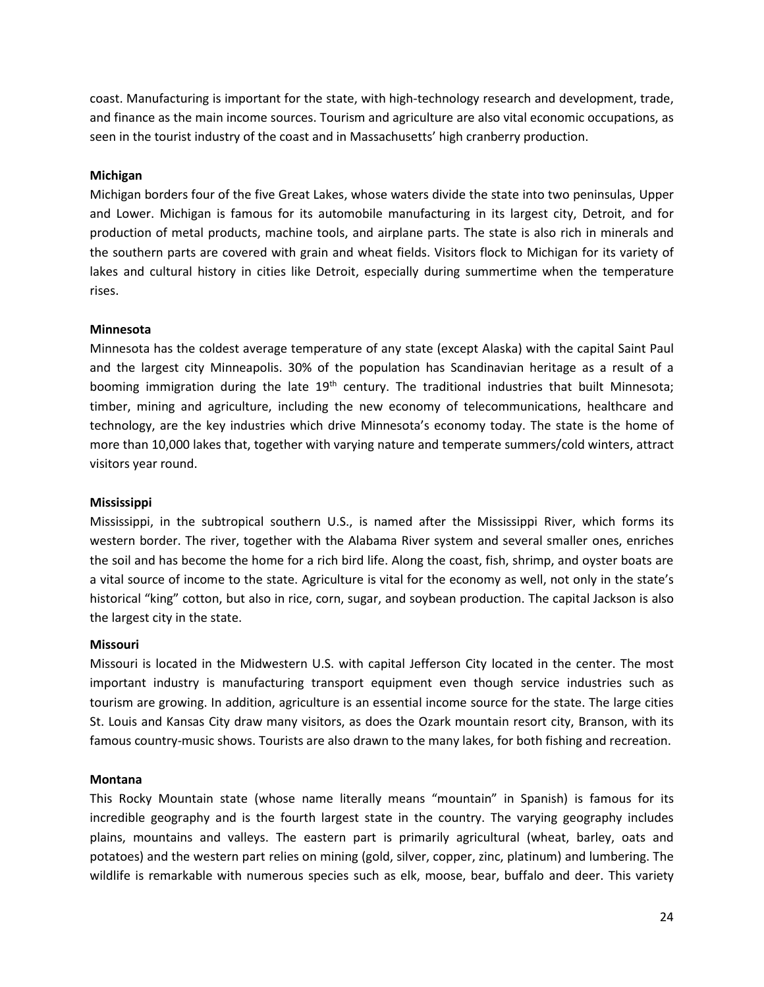coast. Manufacturing is important for the state, with high-technology research and development, trade, and finance as the main income sources. Tourism and agriculture are also vital economic occupations, as seen in the tourist industry of the coast and in Massachusetts' high cranberry production.

#### **Michigan**

Michigan borders four of the five Great Lakes, whose waters divide the state into two peninsulas, Upper and Lower. Michigan is famous for its automobile manufacturing in its largest city, Detroit, and for production of metal products, machine tools, and airplane parts. The state is also rich in minerals and the southern parts are covered with grain and wheat fields. Visitors flock to Michigan for its variety of lakes and cultural history in cities like Detroit, especially during summertime when the temperature rises.

#### **Minnesota**

Minnesota has the coldest average temperature of any state (except Alaska) with the capital Saint Paul and the largest city Minneapolis. 30% of the population has Scandinavian heritage as a result of a booming immigration during the late  $19<sup>th</sup>$  century. The traditional industries that built Minnesota; timber, mining and agriculture, including the new economy of telecommunications, healthcare and technology, are the key industries which drive Minnesota's economy today. The state is the home of more than 10,000 lakes that, together with varying nature and temperate summers/cold winters, attract visitors year round.

#### **Mississippi**

Mississippi, in the subtropical southern U.S., is named after the Mississippi River, which forms its western border. The river, together with the Alabama River system and several smaller ones, enriches the soil and has become the home for a rich bird life. Along the coast, fish, shrimp, and oyster boats are a vital source of income to the state. Agriculture is vital for the economy as well, not only in the state's historical "king" cotton, but also in rice, corn, sugar, and soybean production. The capital Jackson is also the largest city in the state.

#### **Missouri**

Missouri is located in the Midwestern U.S. with capital Jefferson City located in the center. The most important industry is manufacturing transport equipment even though service industries such as tourism are growing. In addition, agriculture is an essential income source for the state. The large cities St. Louis and Kansas City draw many visitors, as does the Ozark mountain resort city, Branson, with its famous country-music shows. Tourists are also drawn to the many lakes, for both fishing and recreation.

#### **Montana**

This Rocky Mountain state (whose name literally means "mountain" in Spanish) is famous for its incredible geography and is the fourth largest state in the country. The varying geography includes plains, mountains and valleys. The eastern part is primarily agricultural (wheat, barley, oats and potatoes) and the western part relies on mining (gold, silver, copper, zinc, platinum) and lumbering. The wildlife is remarkable with numerous species such as elk, moose, bear, buffalo and deer. This variety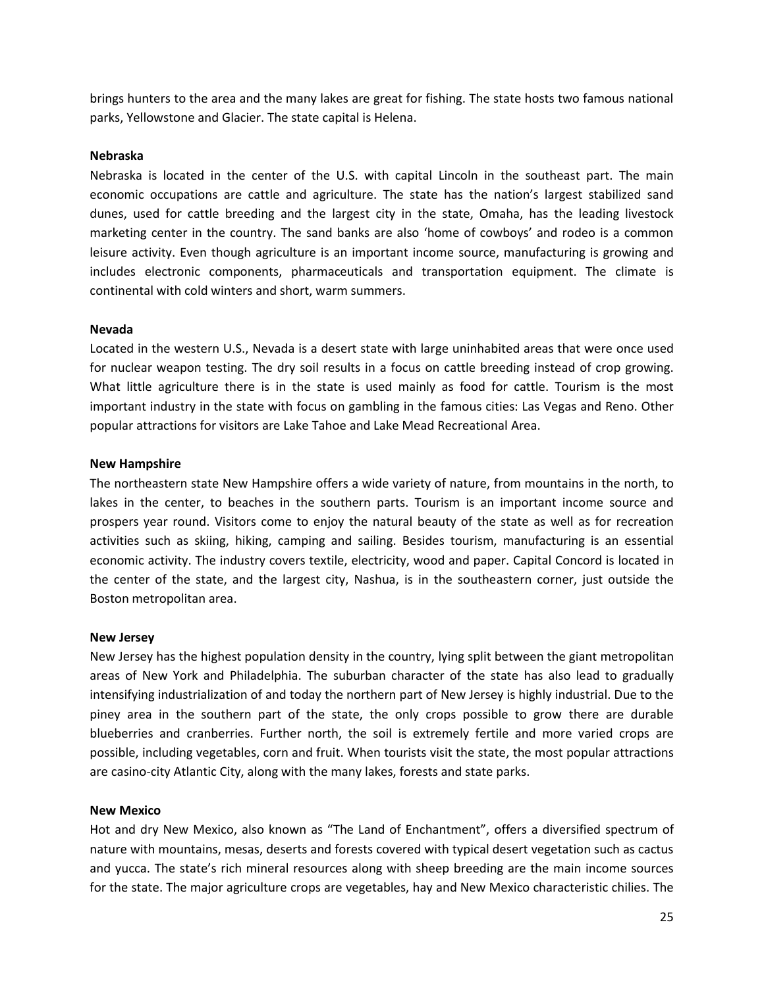brings hunters to the area and the many lakes are great for fishing. The state hosts two famous national parks, Yellowstone and Glacier. The state capital is Helena.

#### **Nebraska**

Nebraska is located in the center of the U.S. with capital Lincoln in the southeast part. The main economic occupations are cattle and agriculture. The state has the nation's largest stabilized sand dunes, used for cattle breeding and the largest city in the state, Omaha, has the leading livestock marketing center in the country. The sand banks are also 'home of cowboys' and rodeo is a common leisure activity. Even though agriculture is an important income source, manufacturing is growing and includes electronic components, pharmaceuticals and transportation equipment. The climate is continental with cold winters and short, warm summers.

#### **Nevada**

Located in the western U.S., Nevada is a desert state with large uninhabited areas that were once used for nuclear weapon testing. The dry soil results in a focus on cattle breeding instead of crop growing. What little agriculture there is in the state is used mainly as food for cattle. Tourism is the most important industry in the state with focus on gambling in the famous cities: Las Vegas and Reno. Other popular attractions for visitors are Lake Tahoe and Lake Mead Recreational Area.

#### **New Hampshire**

The northeastern state New Hampshire offers a wide variety of nature, from mountains in the north, to lakes in the center, to beaches in the southern parts. Tourism is an important income source and prospers year round. Visitors come to enjoy the natural beauty of the state as well as for recreation activities such as skiing, hiking, camping and sailing. Besides tourism, manufacturing is an essential economic activity. The industry covers textile, electricity, wood and paper. Capital Concord is located in the center of the state, and the largest city, Nashua, is in the southeastern corner, just outside the Boston metropolitan area.

#### **New Jersey**

New Jersey has the highest population density in the country, lying split between the giant metropolitan areas of New York and Philadelphia. The suburban character of the state has also lead to gradually intensifying industrialization of and today the northern part of New Jersey is highly industrial. Due to the piney area in the southern part of the state, the only crops possible to grow there are durable blueberries and cranberries. Further north, the soil is extremely fertile and more varied crops are possible, including vegetables, corn and fruit. When tourists visit the state, the most popular attractions are casino-city Atlantic City, along with the many lakes, forests and state parks.

#### **New Mexico**

Hot and dry New Mexico, also known as "The Land of Enchantment", offers a diversified spectrum of nature with mountains, mesas, deserts and forests covered with typical desert vegetation such as cactus and yucca. The state's rich mineral resources along with sheep breeding are the main income sources for the state. The major agriculture crops are vegetables, hay and New Mexico characteristic chilies. The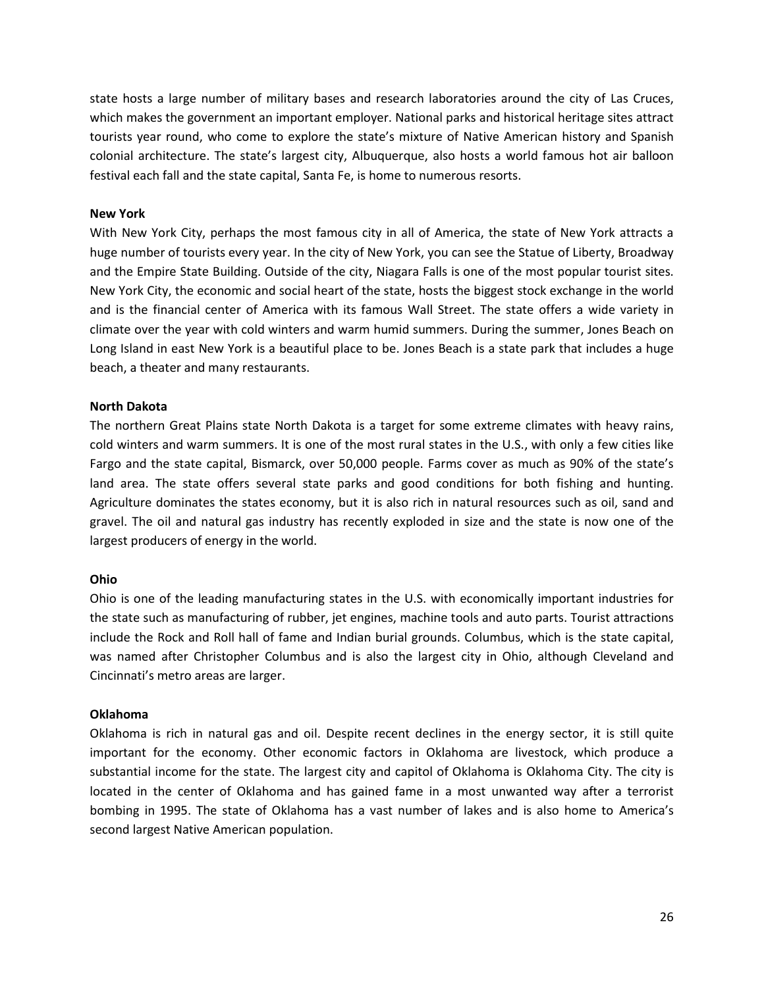state hosts a large number of military bases and research laboratories around the city of Las Cruces, which makes the government an important employer. National parks and historical heritage sites attract tourists year round, who come to explore the state's mixture of Native American history and Spanish colonial architecture. The state's largest city, Albuquerque, also hosts a world famous hot air balloon festival each fall and the state capital, Santa Fe, is home to numerous resorts.

#### **New York**

With New York City, perhaps the most famous city in all of America, the state of New York attracts a huge number of tourists every year. In the city of New York, you can see the Statue of Liberty, Broadway and the Empire State Building. Outside of the city, Niagara Falls is one of the most popular tourist sites. New York City, the economic and social heart of the state, hosts the biggest stock exchange in the world and is the financial center of America with its famous Wall Street. The state offers a wide variety in climate over the year with cold winters and warm humid summers. During the summer, Jones Beach on Long Island in east New York is a beautiful place to be. Jones Beach is a state park that includes a huge beach, a theater and many restaurants.

#### **North Dakota**

The northern Great Plains state North Dakota is a target for some extreme climates with heavy rains, cold winters and warm summers. It is one of the most rural states in the U.S., with only a few cities like Fargo and the state capital, Bismarck, over 50,000 people. Farms cover as much as 90% of the state's land area. The state offers several state parks and good conditions for both fishing and hunting. Agriculture dominates the states economy, but it is also rich in natural resources such as oil, sand and gravel. The oil and natural gas industry has recently exploded in size and the state is now one of the largest producers of energy in the world.

#### **Ohio**

Ohio is one of the leading manufacturing states in the U.S. with economically important industries for the state such as manufacturing of rubber, jet engines, machine tools and auto parts. Tourist attractions include the Rock and Roll hall of fame and Indian burial grounds. Columbus, which is the state capital, was named after Christopher Columbus and is also the largest city in Ohio, although Cleveland and Cincinnati's metro areas are larger.

#### **Oklahoma**

Oklahoma is rich in natural gas and oil. Despite recent declines in the energy sector, it is still quite important for the economy. Other economic factors in Oklahoma are livestock, which produce a substantial income for the state. The largest city and capitol of Oklahoma is Oklahoma City. The city is located in the center of Oklahoma and has gained fame in a most unwanted way after a terrorist bombing in 1995. The state of Oklahoma has a vast number of lakes and is also home to America's second largest Native American population.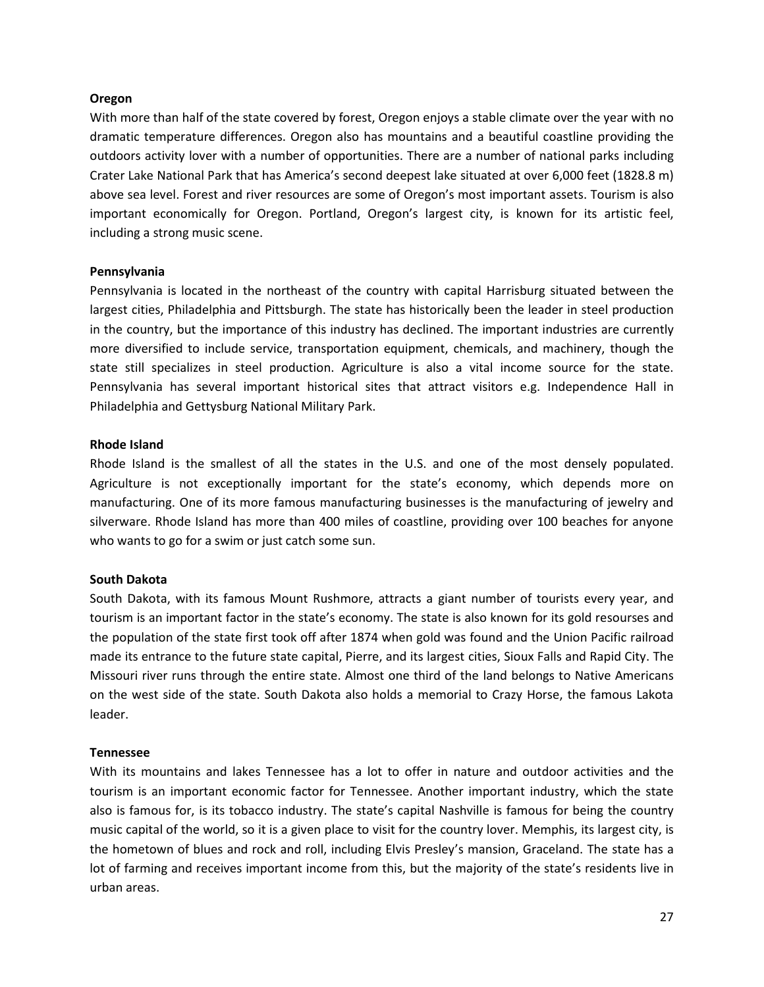#### **Oregon**

With more than half of the state covered by forest, Oregon enjoys a stable climate over the year with no dramatic temperature differences. Oregon also has mountains and a beautiful coastline providing the outdoors activity lover with a number of opportunities. There are a number of national parks including Crater Lake National Park that has America's second deepest lake situated at over 6,000 feet (1828.8 m) above sea level. Forest and river resources are some of Oregon's most important assets. Tourism is also important economically for Oregon. Portland, Oregon's largest city, is known for its artistic feel, including a strong music scene.

#### **Pennsylvania**

Pennsylvania is located in the northeast of the country with capital Harrisburg situated between the largest cities, Philadelphia and Pittsburgh. The state has historically been the leader in steel production in the country, but the importance of this industry has declined. The important industries are currently more diversified to include service, transportation equipment, chemicals, and machinery, though the state still specializes in steel production. Agriculture is also a vital income source for the state. Pennsylvania has several important historical sites that attract visitors e.g. Independence Hall in Philadelphia and Gettysburg National Military Park.

#### **Rhode Island**

Rhode Island is the smallest of all the states in the U.S. and one of the most densely populated. Agriculture is not exceptionally important for the state's economy, which depends more on manufacturing. One of its more famous manufacturing businesses is the manufacturing of jewelry and silverware. Rhode Island has more than 400 miles of coastline, providing over 100 beaches for anyone who wants to go for a swim or just catch some sun.

#### **South Dakota**

South Dakota, with its famous Mount Rushmore, attracts a giant number of tourists every year, and tourism is an important factor in the state's economy. The state is also known for its gold resourses and the population of the state first took off after 1874 when gold was found and the Union Pacific railroad made its entrance to the future state capital, Pierre, and its largest cities, Sioux Falls and Rapid City. The Missouri river runs through the entire state. Almost one third of the land belongs to Native Americans on the west side of the state. South Dakota also holds a memorial to Crazy Horse, the famous Lakota leader.

#### **Tennessee**

With its mountains and lakes Tennessee has a lot to offer in nature and outdoor activities and the tourism is an important economic factor for Tennessee. Another important industry, which the state also is famous for, is its tobacco industry. The state's capital Nashville is famous for being the country music capital of the world, so it is a given place to visit for the country lover. Memphis, its largest city, is the hometown of blues and rock and roll, including Elvis Presley's mansion, Graceland. The state has a lot of farming and receives important income from this, but the majority of the state's residents live in urban areas.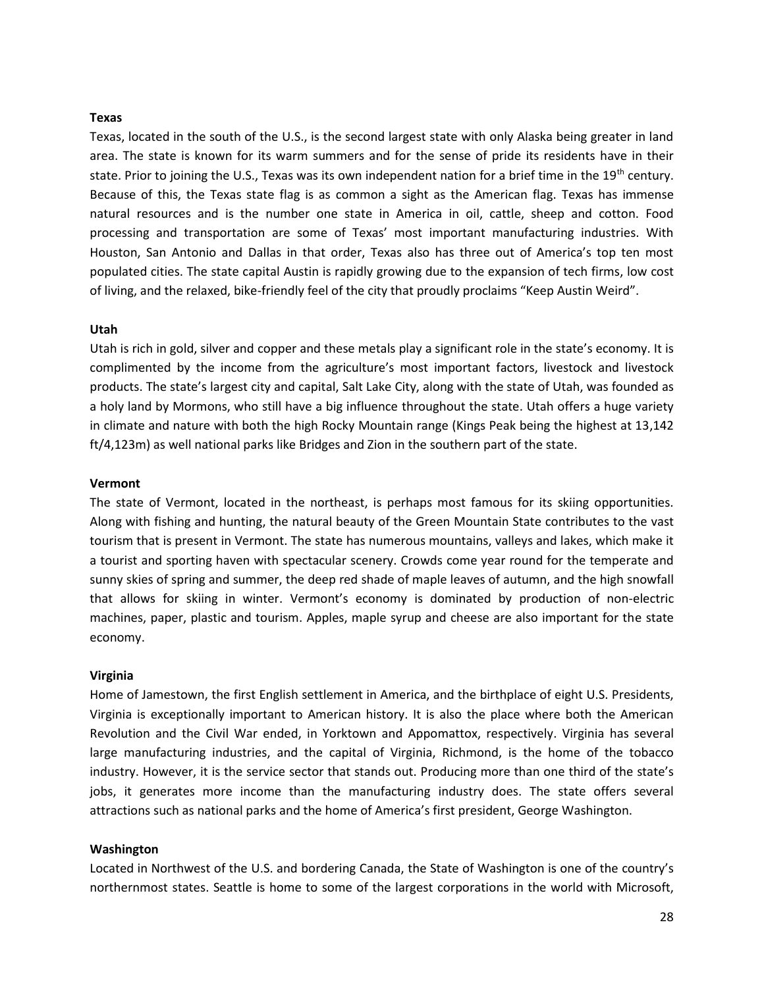#### **Texas**

Texas, located in the south of the U.S., is the second largest state with only Alaska being greater in land area. The state is known for its warm summers and for the sense of pride its residents have in their state. Prior to joining the U.S., Texas was its own independent nation for a brief time in the 19<sup>th</sup> century. Because of this, the Texas state flag is as common a sight as the American flag. Texas has immense natural resources and is the number one state in America in oil, cattle, sheep and cotton. Food processing and transportation are some of Texas' most important manufacturing industries. With Houston, San Antonio and Dallas in that order, Texas also has three out of America's top ten most populated cities. The state capital Austin is rapidly growing due to the expansion of tech firms, low cost of living, and the relaxed, bike-friendly feel of the city that proudly proclaims "Keep Austin Weird".

#### **Utah**

Utah is rich in gold, silver and copper and these metals play a significant role in the state's economy. It is complimented by the income from the agriculture's most important factors, livestock and livestock products. The state's largest city and capital, Salt Lake City, along with the state of Utah, was founded as a holy land by Mormons, who still have a big influence throughout the state. Utah offers a huge variety in climate and nature with both the high Rocky Mountain range (Kings Peak being the highest at 13,142 ft/4,123m) as well national parks like Bridges and Zion in the southern part of the state.

#### **Vermont**

The state of Vermont, located in the northeast, is perhaps most famous for its skiing opportunities. Along with fishing and hunting, the natural beauty of the Green Mountain State contributes to the vast tourism that is present in Vermont. The state has numerous mountains, valleys and lakes, which make it a tourist and sporting haven with spectacular scenery. Crowds come year round for the temperate and sunny skies of spring and summer, the deep red shade of maple leaves of autumn, and the high snowfall that allows for skiing in winter. Vermont's economy is dominated by production of non-electric machines, paper, plastic and tourism. Apples, maple syrup and cheese are also important for the state economy.

#### **Virginia**

Home of Jamestown, the first English settlement in America, and the birthplace of eight U.S. Presidents, Virginia is exceptionally important to American history. It is also the place where both the American Revolution and the Civil War ended, in Yorktown and Appomattox, respectively. Virginia has several large manufacturing industries, and the capital of Virginia, Richmond, is the home of the tobacco industry. However, it is the service sector that stands out. Producing more than one third of the state's jobs, it generates more income than the manufacturing industry does. The state offers several attractions such as national parks and the home of America's first president, George Washington.

#### **Washington**

Located in Northwest of the U.S. and bordering Canada, the State of Washington is one of the country's northernmost states. Seattle is home to some of the largest corporations in the world with Microsoft,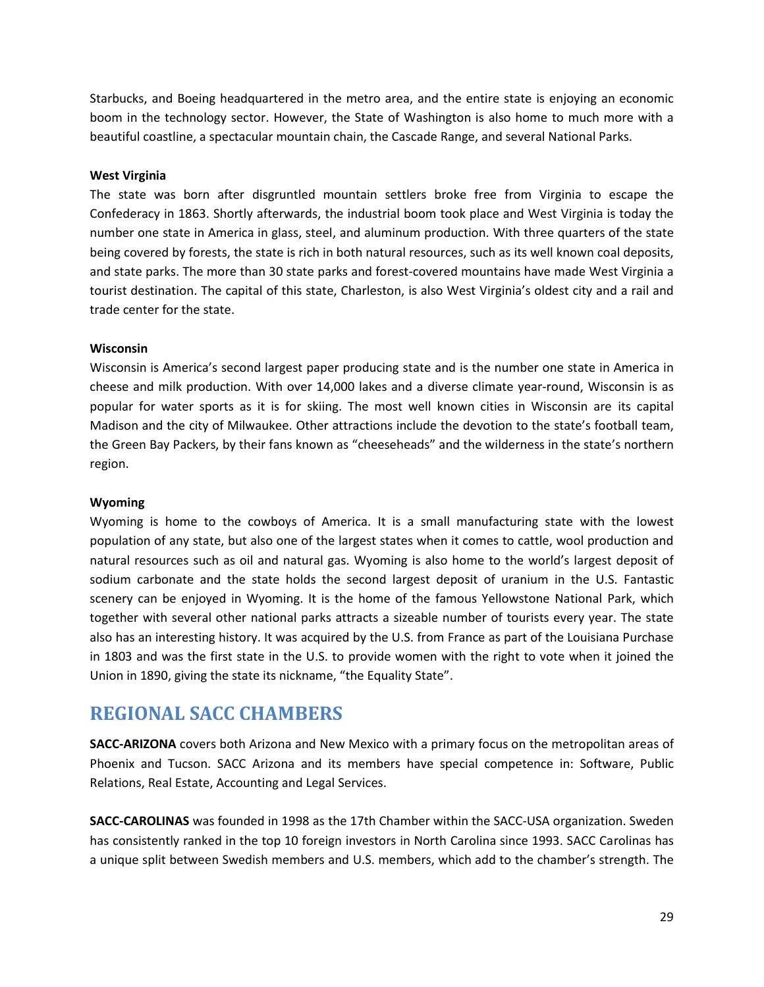Starbucks, and Boeing headquartered in the metro area, and the entire state is enjoying an economic boom in the technology sector. However, the State of Washington is also home to much more with a beautiful coastline, a spectacular mountain chain, the Cascade Range, and several National Parks.

## **West Virginia**

The state was born after disgruntled mountain settlers broke free from Virginia to escape the Confederacy in 1863. Shortly afterwards, the industrial boom took place and West Virginia is today the number one state in America in glass, steel, and aluminum production. With three quarters of the state being covered by forests, the state is rich in both natural resources, such as its well known coal deposits, and state parks. The more than 30 state parks and forest-covered mountains have made West Virginia a tourist destination. The capital of this state, Charleston, is also West Virginia's oldest city and a rail and trade center for the state.

## **Wisconsin**

Wisconsin is America's second largest paper producing state and is the number one state in America in cheese and milk production. With over 14,000 lakes and a diverse climate year-round, Wisconsin is as popular for water sports as it is for skiing. The most well known cities in Wisconsin are its capital Madison and the city of Milwaukee. Other attractions include the devotion to the state's football team, the Green Bay Packers, by their fans known as "cheeseheads" and the wilderness in the state's northern region.

## **Wyoming**

Wyoming is home to the cowboys of America. It is a small manufacturing state with the lowest population of any state, but also one of the largest states when it comes to cattle, wool production and natural resources such as oil and natural gas. Wyoming is also home to the world's largest deposit of sodium carbonate and the state holds the second largest deposit of uranium in the U.S. Fantastic scenery can be enjoyed in Wyoming. It is the home of the famous Yellowstone National Park, which together with several other national parks attracts a sizeable number of tourists every year. The state also has an interesting history. It was acquired by the U.S. from France as part of the Louisiana Purchase in 1803 and was the first state in the U.S. to provide women with the right to vote when it joined the Union in 1890, giving the state its nickname, "the Equality State".

# <span id="page-29-0"></span>**REGIONAL SACC CHAMBERS**

**SACC-ARIZONA** covers both Arizona and New Mexico with a primary focus on the metropolitan areas of Phoenix and Tucson. SACC Arizona and its members have special competence in: Software, Public Relations, Real Estate, Accounting and Legal Services.

**SACC-CAROLINAS** was founded in 1998 as the 17th Chamber within the SACC-USA organization. Sweden has consistently ranked in the top 10 foreign investors in North Carolina since 1993. SACC Carolinas has a unique split between Swedish members and U.S. members, which add to the chamber's strength. The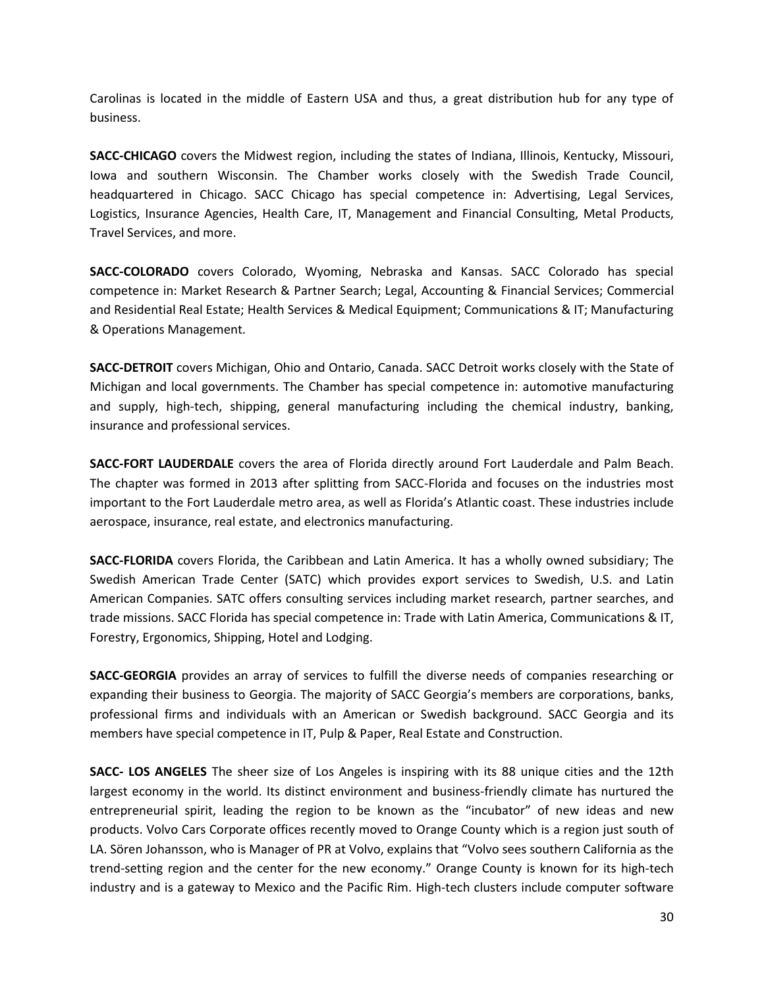Carolinas is located in the middle of Eastern USA and thus, a great distribution hub for any type of business.

**SACC-CHICAGO** covers the Midwest region, including the states of Indiana, Illinois, Kentucky, Missouri, Iowa and southern Wisconsin. The Chamber works closely with the Swedish Trade Council, headquartered in Chicago. SACC Chicago has special competence in: Advertising, Legal Services, Logistics, Insurance Agencies, Health Care, IT, Management and Financial Consulting, Metal Products, Travel Services, and more.

**SACC-COLORADO** covers Colorado, Wyoming, Nebraska and Kansas. SACC Colorado has special competence in: Market Research & Partner Search; Legal, Accounting & Financial Services; Commercial and Residential Real Estate; Health Services & Medical Equipment; Communications & IT; Manufacturing & Operations Management.

**SACC-DETROIT** covers Michigan, Ohio and Ontario, Canada. SACC Detroit works closely with the State of Michigan and local governments. The Chamber has special competence in: automotive manufacturing and supply, high-tech, shipping, general manufacturing including the chemical industry, banking, insurance and professional services.

**SACC-FORT LAUDERDALE** covers the area of Florida directly around Fort Lauderdale and Palm Beach. The chapter was formed in 2013 after splitting from SACC-Florida and focuses on the industries most important to the Fort Lauderdale metro area, as well as Florida's Atlantic coast. These industries include aerospace, insurance, real estate, and electronics manufacturing.

**SACC-FLORIDA** covers Florida, the Caribbean and Latin America. It has a wholly owned subsidiary; The Swedish American Trade Center (SATC) which provides export services to Swedish, U.S. and Latin American Companies. SATC offers consulting services including market research, partner searches, and trade missions. SACC Florida has special competence in: Trade with Latin America, Communications & IT, Forestry, Ergonomics, Shipping, Hotel and Lodging.

**SACC-GEORGIA** provides an array of services to fulfill the diverse needs of companies researching or expanding their business to Georgia. The majority of SACC Georgia's members are corporations, banks, professional firms and individuals with an American or Swedish background. SACC Georgia and its members have special competence in IT, Pulp & Paper, Real Estate and Construction.

**SACC- LOS ANGELES** The sheer size of Los Angeles is inspiring with its 88 unique cities and the 12th largest economy in the world. Its distinct environment and business-friendly climate has nurtured the entrepreneurial spirit, leading the region to be known as the "incubator" of new ideas and new products. Volvo Cars Corporate offices recently moved to Orange County which is a region just south of LA. Sören Johansson, who is Manager of PR at Volvo, explains that "Volvo sees southern California as the trend-setting region and the center for the new economy." Orange County is known for its high-tech industry and is a gateway to Mexico and the Pacific Rim. High-tech clusters include computer software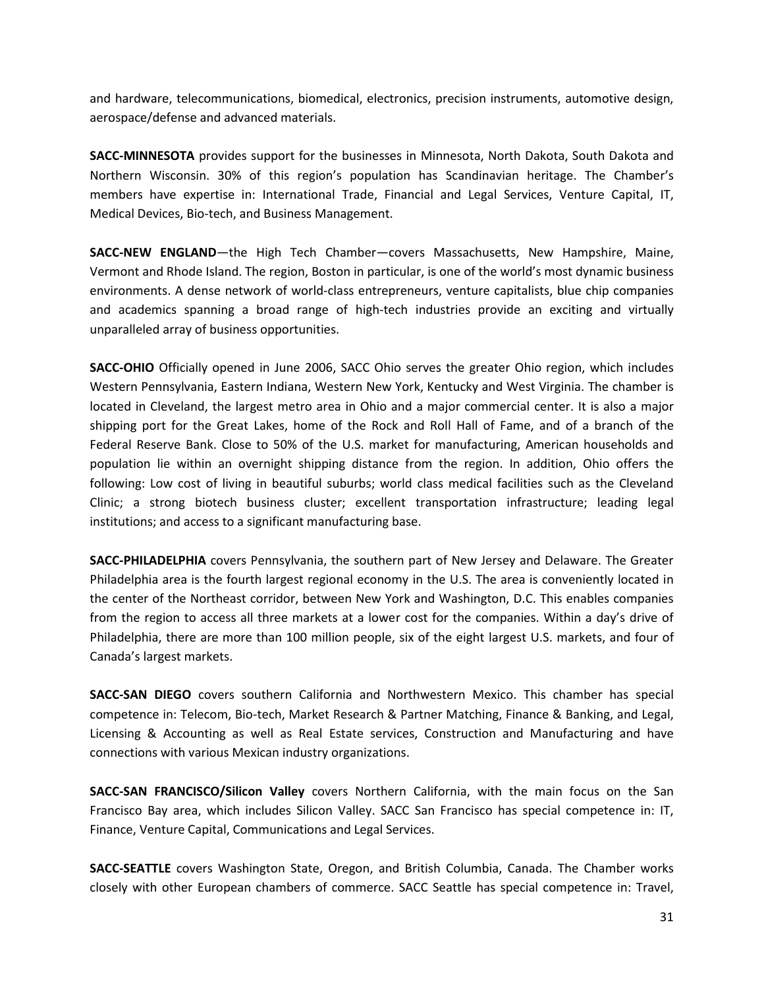and hardware, telecommunications, biomedical, electronics, precision instruments, automotive design, aerospace/defense and advanced materials.

**SACC-MINNESOTA** provides support for the businesses in Minnesota, North Dakota, South Dakota and Northern Wisconsin. 30% of this region's population has Scandinavian heritage. The Chamber's members have expertise in: International Trade, Financial and Legal Services, Venture Capital, IT, Medical Devices, Bio-tech, and Business Management.

**SACC-NEW ENGLAND**—the High Tech Chamber—covers Massachusetts, New Hampshire, Maine, Vermont and Rhode Island. The region, Boston in particular, is one of the world's most dynamic business environments. A dense network of world-class entrepreneurs, venture capitalists, blue chip companies and academics spanning a broad range of high-tech industries provide an exciting and virtually unparalleled array of business opportunities.

**SACC-OHIO** Officially opened in June 2006, SACC Ohio serves the greater Ohio region, which includes Western Pennsylvania, Eastern Indiana, Western New York, Kentucky and West Virginia. The chamber is located in Cleveland, the largest metro area in Ohio and a major commercial center. It is also a major shipping port for the Great Lakes, home of the Rock and Roll Hall of Fame, and of a branch of the Federal Reserve Bank. Close to 50% of the U.S. market for manufacturing, American households and population lie within an overnight shipping distance from the region. In addition, Ohio offers the following: Low cost of living in beautiful suburbs; world class medical facilities such as the Cleveland Clinic; a strong biotech business cluster; excellent transportation infrastructure; leading legal institutions; and access to a significant manufacturing base.

**SACC-PHILADELPHIA** covers Pennsylvania, the southern part of New Jersey and Delaware. The Greater Philadelphia area is the fourth largest regional economy in the U.S. The area is conveniently located in the center of the Northeast corridor, between New York and Washington, D.C. This enables companies from the region to access all three markets at a lower cost for the companies. Within a day's drive of Philadelphia, there are more than 100 million people, six of the eight largest U.S. markets, and four of Canada's largest markets.

**SACC-SAN DIEGO** covers southern California and Northwestern Mexico. This chamber has special competence in: Telecom, Bio-tech, Market Research & Partner Matching, Finance & Banking, and Legal, Licensing & Accounting as well as Real Estate services, Construction and Manufacturing and have connections with various Mexican industry organizations.

**SACC-SAN FRANCISCO/Silicon Valley** covers Northern California, with the main focus on the San Francisco Bay area, which includes Silicon Valley. SACC San Francisco has special competence in: IT, Finance, Venture Capital, Communications and Legal Services.

**SACC-SEATTLE** covers Washington State, Oregon, and British Columbia, Canada. The Chamber works closely with other European chambers of commerce. SACC Seattle has special competence in: Travel,